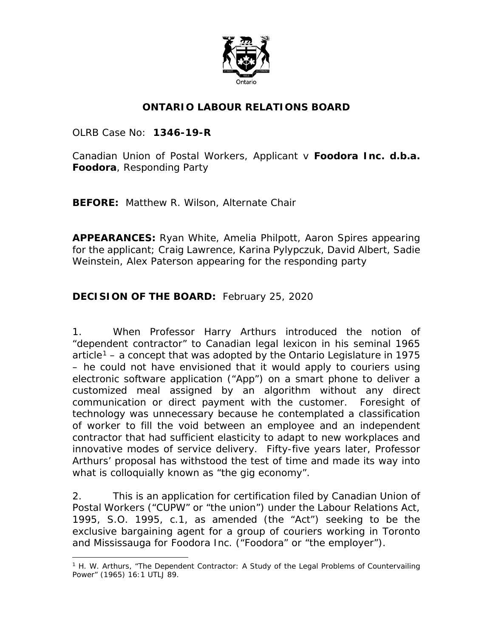

#### **ONTARIO LABOUR RELATIONS BOARD**

OLRB Case No: **1346-19-R**

Canadian Union of Postal Workers, Applicant v **Foodora Inc. d.b.a. Foodora**, Responding Party

**BEFORE:** Matthew R. Wilson, Alternate Chair

**APPEARANCES:** Ryan White, Amelia Philpott, Aaron Spires appearing for the applicant; Craig Lawrence, Karina Pylypczuk, David Albert, Sadie Weinstein, Alex Paterson appearing for the responding party

#### **DECISION OF THE BOARD:** February 25, 2020

1. When Professor Harry Arthurs introduced the notion of "dependent contractor" to Canadian legal lexicon in his seminal 1965 article<sup>[1](#page-0-0)</sup> – a concept that was adopted by the Ontario Legislature in 1975 – he could not have envisioned that it would apply to couriers using electronic software application ("App") on a smart phone to deliver a customized meal assigned by an algorithm without any direct communication or direct payment with the customer. Foresight of technology was unnecessary because he contemplated a classification of worker to fill the void between an employee and an independent contractor that had sufficient elasticity to adapt to new workplaces and innovative modes of service delivery. Fifty-five years later, Professor Arthurs' proposal has withstood the test of time and made its way into what is colloquially known as "the gig economy".

2. This is an application for certification filed by Canadian Union of Postal Workers ("CUPW" or "the union") under the *Labour Relations Act, 1995*, S.O. 1995, c.1, as amended (the "Act") seeking to be the exclusive bargaining agent for a group of couriers working in Toronto and Mississauga for Foodora Inc. ("Foodora" or "the employer").

<span id="page-0-0"></span> $\overline{a}$ <sup>1</sup> H. W. Arthurs, "The Dependent Contractor: A Study of the Legal Problems of Countervailing Power" (1965) 16:1 UTLJ 89.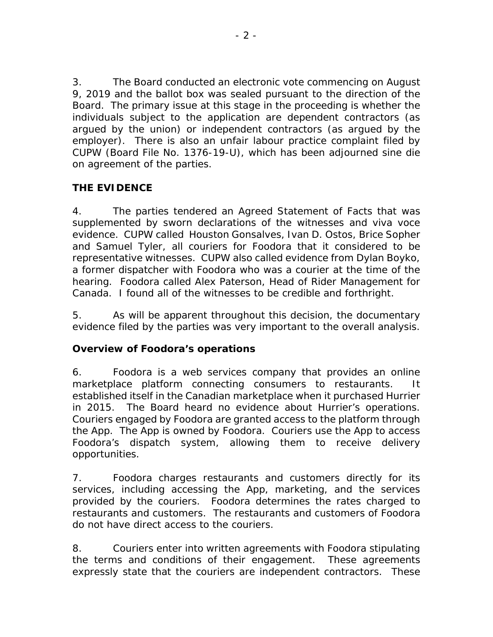3. The Board conducted an electronic vote commencing on August 9, 2019 and the ballot box was sealed pursuant to the direction of the Board. The primary issue at this stage in the proceeding is whether the individuals subject to the application are dependent contractors (as argued by the union) or independent contractors (as argued by the employer). There is also an unfair labour practice complaint filed by CUPW (Board File No. 1376-19-U), which has been adjourned *sine die* on agreement of the parties.

# **THE EVIDENCE**

4. The parties tendered an Agreed Statement of Facts that was supplemented by sworn declarations of the witnesses and *viva voce* evidence. CUPW called Houston Gonsalves, Ivan D. Ostos, Brice Sopher and Samuel Tyler, all couriers for Foodora that it considered to be representative witnesses. CUPW also called evidence from Dylan Boyko, a former dispatcher with Foodora who was a courier at the time of the hearing. Foodora called Alex Paterson, Head of Rider Management for Canada. I found all of the witnesses to be credible and forthright.

5. As will be apparent throughout this decision, the documentary evidence filed by the parties was very important to the overall analysis.

# **Overview of Foodora's operations**

6. Foodora is a web services company that provides an online marketplace platform connecting consumers to restaurants. established itself in the Canadian marketplace when it purchased Hurrier in 2015. The Board heard no evidence about Hurrier's operations. Couriers engaged by Foodora are granted access to the platform through the App. The App is owned by Foodora. Couriers use the App to access Foodora's dispatch system, allowing them to receive delivery opportunities.

7. Foodora charges restaurants and customers directly for its services, including accessing the App, marketing, and the services provided by the couriers. Foodora determines the rates charged to restaurants and customers. The restaurants and customers of Foodora do not have direct access to the couriers.

8. Couriers enter into written agreements with Foodora stipulating the terms and conditions of their engagement. These agreements expressly state that the couriers are independent contractors. These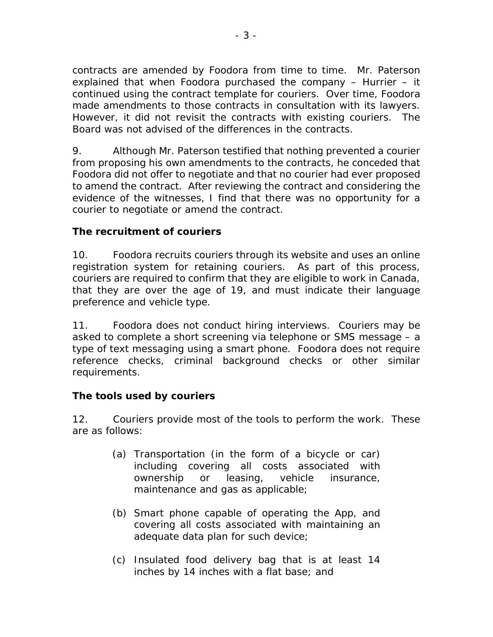contracts are amended by Foodora from time to time. Mr. Paterson explained that when Foodora purchased the company – Hurrier – it continued using the contract template for couriers. Over time, Foodora made amendments to those contracts in consultation with its lawyers. However, it did not revisit the contracts with existing couriers. The Board was not advised of the differences in the contracts.

9. Although Mr. Paterson testified that nothing prevented a courier from proposing his own amendments to the contracts, he conceded that Foodora did not offer to negotiate and that no courier had ever proposed to amend the contract. After reviewing the contract and considering the evidence of the witnesses, I find that there was no opportunity for a courier to negotiate or amend the contract.

#### **The recruitment of couriers**

10. Foodora recruits couriers through its website and uses an online registration system for retaining couriers. As part of this process, couriers are required to confirm that they are eligible to work in Canada, that they are over the age of 19, and must indicate their language preference and vehicle type.

11. Foodora does not conduct hiring interviews. Couriers may be asked to complete a short screening via telephone or SMS message – a type of text messaging using a smart phone. Foodora does not require reference checks, criminal background checks or other similar requirements.

# **The tools used by couriers**

12. Couriers provide most of the tools to perform the work. These are as follows:

- (a) Transportation (in the form of a bicycle or car) including covering all costs associated with ownership or leasing, vehicle insurance, maintenance and gas as applicable;
- (b) Smart phone capable of operating the App, and covering all costs associated with maintaining an adequate data plan for such device;
- (c) Insulated food delivery bag that is at least 14 inches by 14 inches with a flat base; and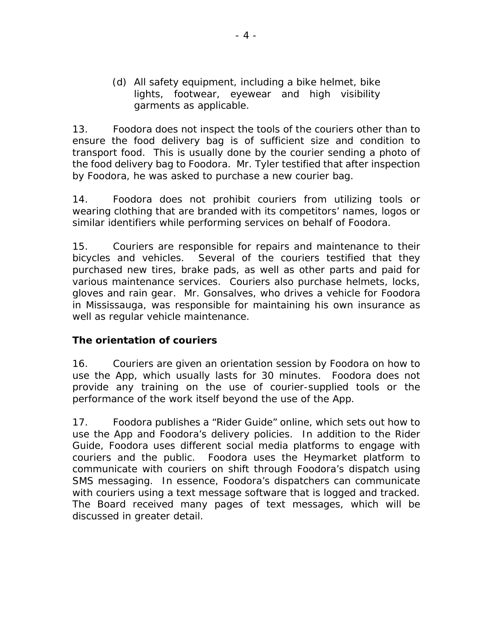(d) All safety equipment, including a bike helmet, bike lights, footwear, eyewear and high visibility garments as applicable.

13. Foodora does not inspect the tools of the couriers other than to ensure the food delivery bag is of sufficient size and condition to transport food. This is usually done by the courier sending a photo of the food delivery bag to Foodora. Mr. Tyler testified that after inspection by Foodora, he was asked to purchase a new courier bag.

14. Foodora does not prohibit couriers from utilizing tools or wearing clothing that are branded with its competitors' names, logos or similar identifiers while performing services on behalf of Foodora.

15. Couriers are responsible for repairs and maintenance to their bicycles and vehicles. Several of the couriers testified that they purchased new tires, brake pads, as well as other parts and paid for various maintenance services. Couriers also purchase helmets, locks, gloves and rain gear. Mr. Gonsalves, who drives a vehicle for Foodora in Mississauga, was responsible for maintaining his own insurance as well as regular vehicle maintenance.

# **The orientation of couriers**

16. Couriers are given an orientation session by Foodora on how to use the App, which usually lasts for 30 minutes. Foodora does not provide any training on the use of courier-supplied tools or the performance of the work itself beyond the use of the App.

17. Foodora publishes a "Rider Guide" online, which sets out how to use the App and Foodora's delivery policies. In addition to the Rider Guide, Foodora uses different social media platforms to engage with couriers and the public. Foodora uses the Heymarket platform to communicate with couriers on shift through Foodora's dispatch using SMS messaging. In essence, Foodora's dispatchers can communicate with couriers using a text message software that is logged and tracked. The Board received many pages of text messages, which will be discussed in greater detail.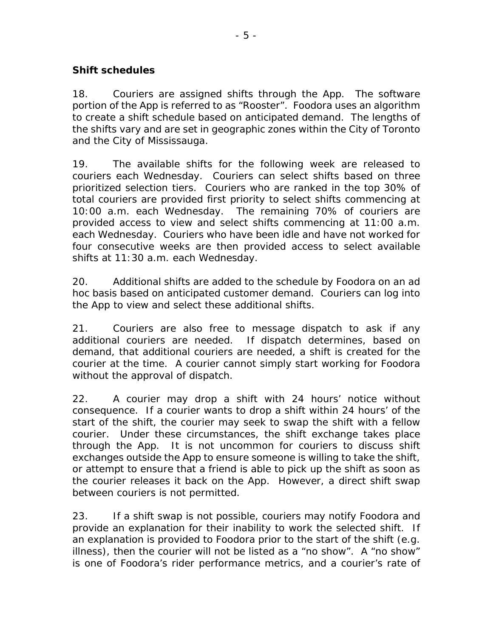#### **Shift schedules**

18. Couriers are assigned shifts through the App. The software portion of the App is referred to as "Rooster". Foodora uses an algorithm to create a shift schedule based on anticipated demand. The lengths of the shifts vary and are set in geographic zones within the City of Toronto and the City of Mississauga.

19. The available shifts for the following week are released to couriers each Wednesday. Couriers can select shifts based on three prioritized selection tiers. Couriers who are ranked in the top 30% of total couriers are provided first priority to select shifts commencing at 10:00 a.m. each Wednesday. The remaining 70% of couriers are provided access to view and select shifts commencing at 11:00 a.m. each Wednesday. Couriers who have been idle and have not worked for four consecutive weeks are then provided access to select available shifts at 11:30 a.m. each Wednesday.

20. Additional shifts are added to the schedule by Foodora on an *ad hoc* basis based on anticipated customer demand. Couriers can log into the App to view and select these additional shifts.

21. Couriers are also free to message dispatch to ask if any additional couriers are needed. If dispatch determines, based on demand, that additional couriers are needed, a shift is created for the courier at the time. A courier cannot simply start working for Foodora without the approval of dispatch.

22. A courier may drop a shift with 24 hours' notice without consequence. If a courier wants to drop a shift within 24 hours' of the start of the shift, the courier may seek to swap the shift with a fellow courier. Under these circumstances, the shift exchange takes place through the App. It is not uncommon for couriers to discuss shift exchanges outside the App to ensure someone is willing to take the shift, or attempt to ensure that a friend is able to pick up the shift as soon as the courier releases it back on the App. However, a direct shift swap between couriers is not permitted.

23. If a shift swap is not possible, couriers may notify Foodora and provide an explanation for their inability to work the selected shift. If an explanation is provided to Foodora prior to the start of the shift (e.g. illness), then the courier will not be listed as a "no show". A "no show" is one of Foodora's rider performance metrics, and a courier's rate of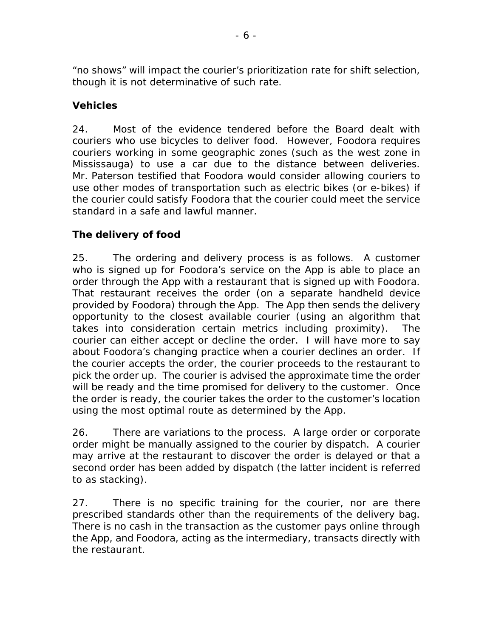"no shows" will impact the courier's prioritization rate for shift selection, though it is not determinative of such rate.

# **Vehicles**

24. Most of the evidence tendered before the Board dealt with couriers who use bicycles to deliver food. However, Foodora requires couriers working in some geographic zones (such as the west zone in Mississauga) to use a car due to the distance between deliveries. Mr. Paterson testified that Foodora would consider allowing couriers to use other modes of transportation such as electric bikes (or e-bikes) if the courier could satisfy Foodora that the courier could meet the service standard in a safe and lawful manner.

# **The delivery of food**

25. The ordering and delivery process is as follows. A customer who is signed up for Foodora's service on the App is able to place an order through the App with a restaurant that is signed up with Foodora. That restaurant receives the order (on a separate handheld device provided by Foodora) through the App. The App then sends the delivery opportunity to the closest available courier (using an algorithm that takes into consideration certain metrics including proximity). The courier can either accept or decline the order. I will have more to say about Foodora's changing practice when a courier declines an order. If the courier accepts the order, the courier proceeds to the restaurant to pick the order up. The courier is advised the approximate time the order will be ready and the time promised for delivery to the customer. Once the order is ready, the courier takes the order to the customer's location using the most optimal route as determined by the App.

26. There are variations to the process. A large order or corporate order might be manually assigned to the courier by dispatch. A courier may arrive at the restaurant to discover the order is delayed or that a second order has been added by dispatch (the latter incident is referred to as stacking).

27. There is no specific training for the courier, nor are there prescribed standards other than the requirements of the delivery bag. There is no cash in the transaction as the customer pays online through the App, and Foodora, acting as the intermediary, transacts directly with the restaurant.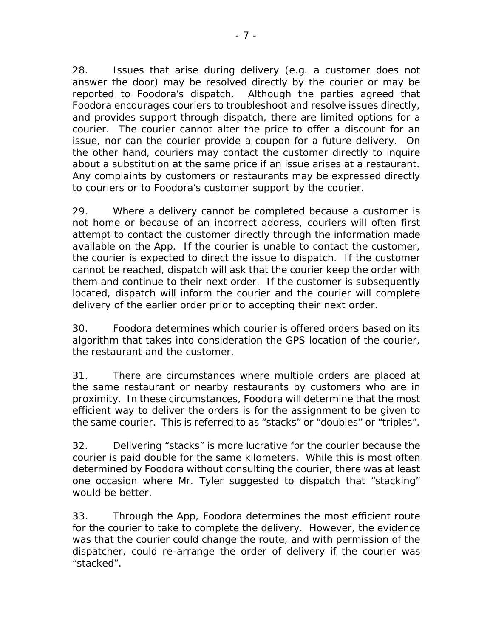28. Issues that arise during delivery (e.g. a customer does not answer the door) may be resolved directly by the courier or may be reported to Foodora's dispatch. Although the parties agreed that Foodora encourages couriers to troubleshoot and resolve issues directly, and provides support through dispatch, there are limited options for a courier. The courier cannot alter the price to offer a discount for an issue, nor can the courier provide a coupon for a future delivery. On the other hand, couriers may contact the customer directly to inquire about a substitution at the same price if an issue arises at a restaurant. Any complaints by customers or restaurants may be expressed directly to couriers or to Foodora's customer support by the courier.

29. Where a delivery cannot be completed because a customer is not home or because of an incorrect address, couriers will often first attempt to contact the customer directly through the information made available on the App. If the courier is unable to contact the customer, the courier is expected to direct the issue to dispatch. If the customer cannot be reached, dispatch will ask that the courier keep the order with them and continue to their next order. If the customer is subsequently located, dispatch will inform the courier and the courier will complete delivery of the earlier order prior to accepting their next order.

30. Foodora determines which courier is offered orders based on its algorithm that takes into consideration the GPS location of the courier, the restaurant and the customer.

31. There are circumstances where multiple orders are placed at the same restaurant or nearby restaurants by customers who are in proximity. In these circumstances, Foodora will determine that the most efficient way to deliver the orders is for the assignment to be given to the same courier. This is referred to as "stacks" or "doubles" or "triples".

32. Delivering "stacks" is more lucrative for the courier because the courier is paid double for the same kilometers. While this is most often determined by Foodora without consulting the courier, there was at least one occasion where Mr. Tyler suggested to dispatch that "stacking" would be better.

33. Through the App, Foodora determines the most efficient route for the courier to take to complete the delivery. However, the evidence was that the courier could change the route, and with permission of the dispatcher, could re-arrange the order of delivery if the courier was "stacked".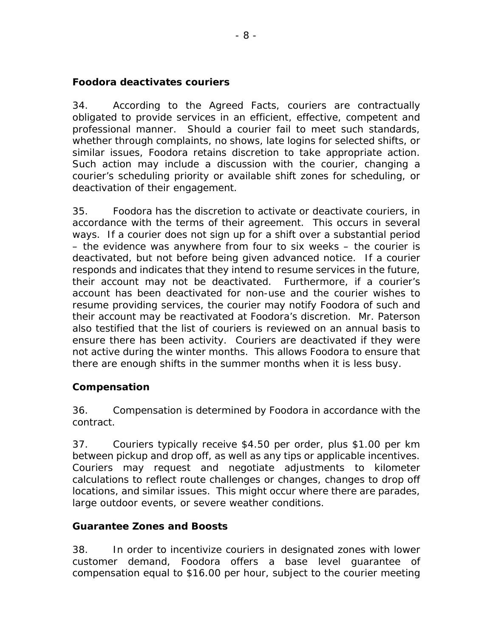#### **Foodora deactivates couriers**

34. According to the Agreed Facts, couriers are contractually obligated to provide services in an efficient, effective, competent and professional manner. Should a courier fail to meet such standards, whether through complaints, no shows, late logins for selected shifts, or similar issues, Foodora retains discretion to take appropriate action. Such action may include a discussion with the courier, changing a courier's scheduling priority or available shift zones for scheduling, or deactivation of their engagement.

35. Foodora has the discretion to activate or deactivate couriers, in accordance with the terms of their agreement. This occurs in several ways. If a courier does not sign up for a shift over a substantial period – the evidence was anywhere from four to six weeks – the courier is deactivated, but not before being given advanced notice. If a courier responds and indicates that they intend to resume services in the future, their account may not be deactivated. Furthermore, if a courier's account has been deactivated for non-use and the courier wishes to resume providing services, the courier may notify Foodora of such and their account may be reactivated at Foodora's discretion. Mr. Paterson also testified that the list of couriers is reviewed on an annual basis to ensure there has been activity. Couriers are deactivated if they were not active during the winter months. This allows Foodora to ensure that there are enough shifts in the summer months when it is less busy.

# **Compensation**

36. Compensation is determined by Foodora in accordance with the contract.

37. Couriers typically receive \$4.50 per order, plus \$1.00 per km between pickup and drop off, as well as any tips or applicable incentives. Couriers may request and negotiate adjustments to kilometer calculations to reflect route challenges or changes, changes to drop off locations, and similar issues. This might occur where there are parades, large outdoor events, or severe weather conditions.

# **Guarantee Zones and Boosts**

38. In order to incentivize couriers in designated zones with lower customer demand, Foodora offers a base level guarantee of compensation equal to \$16.00 per hour, subject to the courier meeting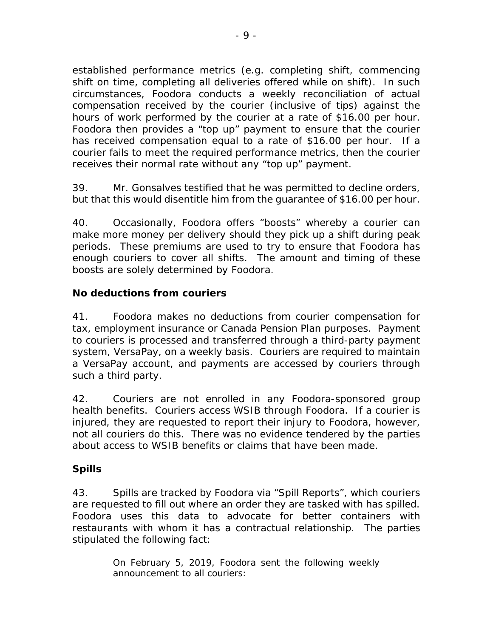established performance metrics (e.g. completing shift, commencing shift on time, completing all deliveries offered while on shift). In such circumstances, Foodora conducts a weekly reconciliation of actual compensation received by the courier (inclusive of tips) against the hours of work performed by the courier at a rate of \$16.00 per hour. Foodora then provides a "top up" payment to ensure that the courier has received compensation equal to a rate of \$16.00 per hour. If a courier fails to meet the required performance metrics, then the courier receives their normal rate without any "top up" payment.

39. Mr. Gonsalves testified that he was permitted to decline orders, but that this would disentitle him from the guarantee of \$16.00 per hour.

40. Occasionally, Foodora offers "boosts" whereby a courier can make more money per delivery should they pick up a shift during peak periods. These premiums are used to try to ensure that Foodora has enough couriers to cover all shifts. The amount and timing of these boosts are solely determined by Foodora.

# **No deductions from couriers**

41. Foodora makes no deductions from courier compensation for tax, employment insurance or Canada Pension Plan purposes. Payment to couriers is processed and transferred through a third-party payment system, VersaPay, on a weekly basis. Couriers are required to maintain a VersaPay account, and payments are accessed by couriers through such a third party.

42. Couriers are not enrolled in any Foodora-sponsored group health benefits. Couriers access WSIB through Foodora. If a courier is injured, they are requested to report their injury to Foodora, however, not all couriers do this. There was no evidence tendered by the parties about access to WSIB benefits or claims that have been made.

# **Spills**

43. Spills are tracked by Foodora via "Spill Reports", which couriers are requested to fill out where an order they are tasked with has spilled. Foodora uses this data to advocate for better containers with restaurants with whom it has a contractual relationship. The parties stipulated the following fact:

> On February 5, 2019, Foodora sent the following weekly announcement to all couriers: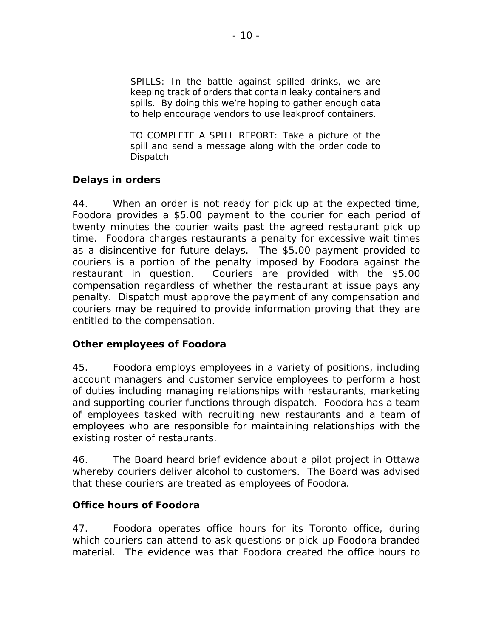SPILLS: In the battle against spilled drinks, we are keeping track of orders that contain leaky containers and spills. By doing this we're hoping to gather enough data to help encourage vendors to use leakproof containers.

TO COMPLETE A SPILL REPORT: Take a picture of the spill and send a message along with the order code to Dispatch

#### **Delays in orders**

44. When an order is not ready for pick up at the expected time, Foodora provides a \$5.00 payment to the courier for each period of twenty minutes the courier waits past the agreed restaurant pick up time. Foodora charges restaurants a penalty for excessive wait times as a disincentive for future delays. The \$5.00 payment provided to couriers is a portion of the penalty imposed by Foodora against the restaurant in question. Couriers are provided with the \$5.00 compensation regardless of whether the restaurant at issue pays any penalty. Dispatch must approve the payment of any compensation and couriers may be required to provide information proving that they are entitled to the compensation.

#### **Other employees of Foodora**

45. Foodora employs employees in a variety of positions, including account managers and customer service employees to perform a host of duties including managing relationships with restaurants, marketing and supporting courier functions through dispatch. Foodora has a team of employees tasked with recruiting new restaurants and a team of employees who are responsible for maintaining relationships with the existing roster of restaurants.

46. The Board heard brief evidence about a pilot project in Ottawa whereby couriers deliver alcohol to customers. The Board was advised that these couriers are treated as employees of Foodora.

#### **Office hours of Foodora**

47. Foodora operates office hours for its Toronto office, during which couriers can attend to ask questions or pick up Foodora branded material. The evidence was that Foodora created the office hours to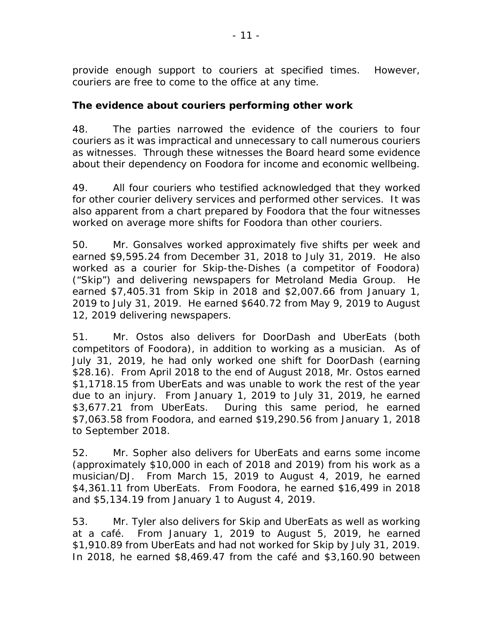provide enough support to couriers at specified times. However, couriers are free to come to the office at any time.

#### **The evidence about couriers performing other work**

48. The parties narrowed the evidence of the couriers to four couriers as it was impractical and unnecessary to call numerous couriers as witnesses. Through these witnesses the Board heard some evidence about their dependency on Foodora for income and economic wellbeing.

49. All four couriers who testified acknowledged that they worked for other courier delivery services and performed other services. It was also apparent from a chart prepared by Foodora that the four witnesses worked on average more shifts for Foodora than other couriers.

50. Mr. Gonsalves worked approximately five shifts per week and earned \$9,595.24 from December 31, 2018 to July 31, 2019. He also worked as a courier for Skip-the-Dishes (a competitor of Foodora) ("Skip") and delivering newspapers for Metroland Media Group. He earned \$7,405.31 from Skip in 2018 and \$2,007.66 from January 1, 2019 to July 31, 2019. He earned \$640.72 from May 9, 2019 to August 12, 2019 delivering newspapers.

51. Mr. Ostos also delivers for DoorDash and UberEats (both competitors of Foodora), in addition to working as a musician. As of July 31, 2019, he had only worked one shift for DoorDash (earning \$28.16). From April 2018 to the end of August 2018, Mr. Ostos earned \$1,1718.15 from UberEats and was unable to work the rest of the year due to an injury. From January 1, 2019 to July 31, 2019, he earned \$3,677.21 from UberEats. During this same period, he earned \$7,063.58 from Foodora, and earned \$19,290.56 from January 1, 2018 to September 2018.

52. Mr. Sopher also delivers for UberEats and earns some income (approximately \$10,000 in each of 2018 and 2019) from his work as a musician/DJ. From March 15, 2019 to August 4, 2019, he earned \$4,361.11 from UberEats. From Foodora, he earned \$16,499 in 2018 and \$5,134.19 from January 1 to August 4, 2019.

53. Mr. Tyler also delivers for Skip and UberEats as well as working at a café. From January 1, 2019 to August 5, 2019, he earned \$1,910.89 from UberEats and had not worked for Skip by July 31, 2019. In 2018, he earned \$8,469.47 from the café and \$3,160.90 between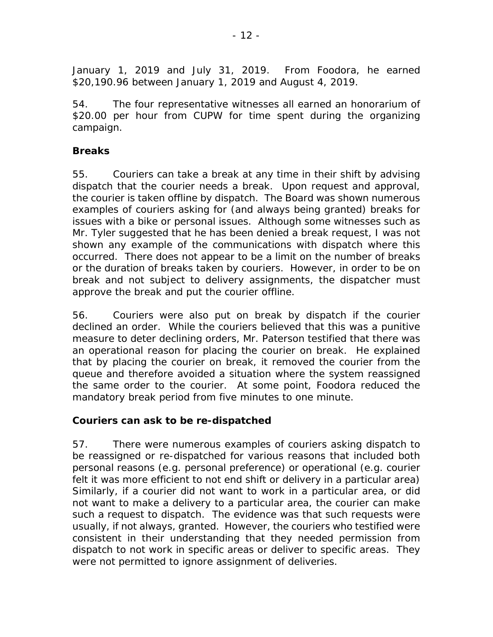January 1, 2019 and July 31, 2019. From Foodora, he earned \$20,190.96 between January 1, 2019 and August 4, 2019.

54. The four representative witnesses all earned an honorarium of \$20.00 per hour from CUPW for time spent during the organizing campaign.

#### **Breaks**

55. Couriers can take a break at any time in their shift by advising dispatch that the courier needs a break. Upon request and approval, the courier is taken offline by dispatch. The Board was shown numerous examples of couriers asking for (and always being granted) breaks for issues with a bike or personal issues. Although some witnesses such as Mr. Tyler suggested that he has been denied a break request, I was not shown any example of the communications with dispatch where this occurred. There does not appear to be a limit on the number of breaks or the duration of breaks taken by couriers. However, in order to be on break and not subject to delivery assignments, the dispatcher must approve the break and put the courier offline.

56. Couriers were also put on break by dispatch if the courier declined an order. While the couriers believed that this was a punitive measure to deter declining orders, Mr. Paterson testified that there was an operational reason for placing the courier on break. He explained that by placing the courier on break, it removed the courier from the queue and therefore avoided a situation where the system reassigned the same order to the courier. At some point, Foodora reduced the mandatory break period from five minutes to one minute.

# **Couriers can ask to be re-dispatched**

57. There were numerous examples of couriers asking dispatch to be reassigned or re-dispatched for various reasons that included both personal reasons (e.g. personal preference) or operational (e.g. courier felt it was more efficient to not end shift or delivery in a particular area) Similarly, if a courier did not want to work in a particular area, or did not want to make a delivery to a particular area, the courier can make such a request to dispatch. The evidence was that such requests were usually, if not always, granted. However, the couriers who testified were consistent in their understanding that they needed permission from dispatch to not work in specific areas or deliver to specific areas. They were not permitted to ignore assignment of deliveries.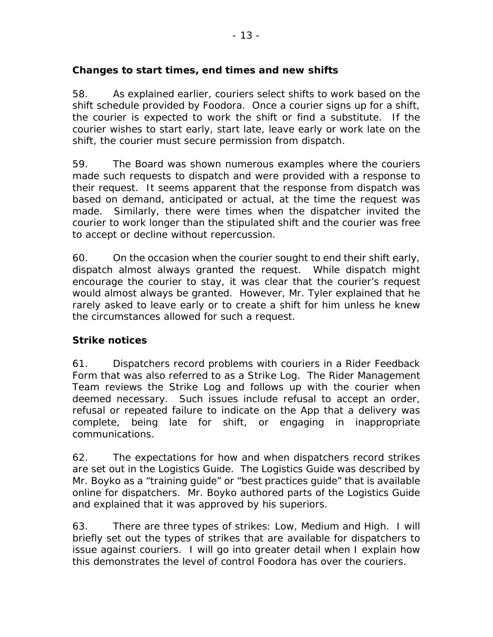#### **Changes to start times, end times and new shifts**

58. As explained earlier, couriers select shifts to work based on the shift schedule provided by Foodora. Once a courier signs up for a shift, the courier is expected to work the shift or find a substitute. If the courier wishes to start early, start late, leave early or work late on the shift, the courier must secure permission from dispatch.

59. The Board was shown numerous examples where the couriers made such requests to dispatch and were provided with a response to their request. It seems apparent that the response from dispatch was based on demand, anticipated or actual, at the time the request was made. Similarly, there were times when the dispatcher invited the courier to work longer than the stipulated shift and the courier was free to accept or decline without repercussion.

60. On the occasion when the courier sought to end their shift early, dispatch almost always granted the request. While dispatch might encourage the courier to stay, it was clear that the courier's request would almost always be granted. However, Mr. Tyler explained that he rarely asked to leave early or to create a shift for him unless he knew the circumstances allowed for such a request.

# **Strike notices**

61. Dispatchers record problems with couriers in a Rider Feedback Form that was also referred to as a Strike Log. The Rider Management Team reviews the Strike Log and follows up with the courier when deemed necessary. Such issues include refusal to accept an order, refusal or repeated failure to indicate on the App that a delivery was complete, being late for shift, or engaging in inappropriate communications.

62. The expectations for how and when dispatchers record strikes are set out in the Logistics Guide. The Logistics Guide was described by Mr. Boyko as a "training guide" or "best practices guide" that is available online for dispatchers. Mr. Boyko authored parts of the Logistics Guide and explained that it was approved by his superiors.

63. There are three types of strikes: Low, Medium and High. I will briefly set out the types of strikes that are available for dispatchers to issue against couriers. I will go into greater detail when I explain how this demonstrates the level of control Foodora has over the couriers.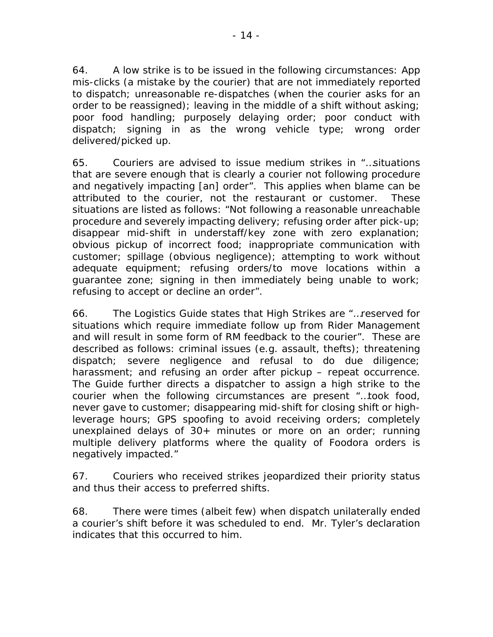64. A low strike is to be issued in the following circumstances: App mis-clicks (a mistake by the courier) that are not immediately reported to dispatch; unreasonable re-dispatches (when the courier asks for an order to be reassigned); leaving in the middle of a shift without asking; poor food handling; purposely delaying order; poor conduct with dispatch; signing in as the wrong vehicle type; wrong order delivered/picked up.

65. Couriers are advised to issue medium strikes in "…situations that are severe enough that is clearly a courier not following procedure and negatively impacting [an] order". This applies when blame can be attributed to the courier, not the restaurant or customer. These situations are listed as follows: "Not following a reasonable unreachable procedure and severely impacting delivery; refusing order after pick-up; disappear mid-shift in understaff/key zone with zero explanation; obvious pickup of incorrect food; inappropriate communication with customer; spillage (obvious negligence); attempting to work without adequate equipment; refusing orders/to move locations within a guarantee zone; signing in then immediately being unable to work; refusing to accept or decline an order".

66. The Logistics Guide states that High Strikes are "…reserved for situations which require immediate follow up from Rider Management and will result in some form of RM feedback to the courier". These are described as follows: criminal issues (e.g. assault, thefts); threatening dispatch; severe negligence and refusal to do due diligence; harassment; and refusing an order after pickup – repeat occurrence. The Guide further directs a dispatcher to assign a high strike to the courier when the following circumstances are present "…took food, never gave to customer; disappearing mid-shift for closing shift or highleverage hours; GPS spoofing to avoid receiving orders; completely unexplained delays of 30+ minutes or more on an order; running multiple delivery platforms where the quality of Foodora orders is negatively impacted."

67. Couriers who received strikes jeopardized their priority status and thus their access to preferred shifts.

68. There were times (albeit few) when dispatch unilaterally ended a courier's shift before it was scheduled to end. Mr. Tyler's declaration indicates that this occurred to him.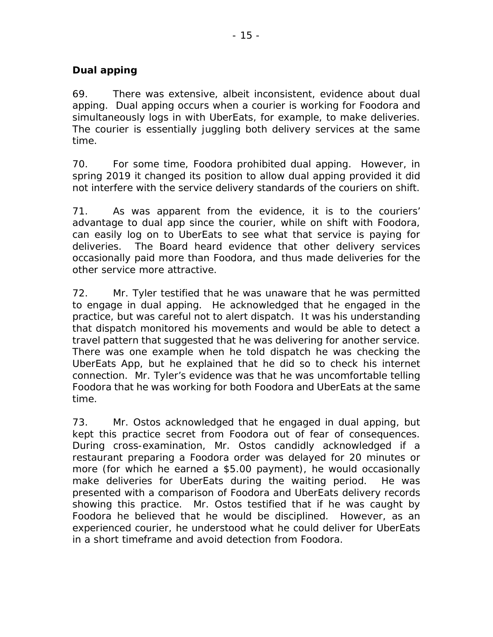# **Dual apping**

69. There was extensive, albeit inconsistent, evidence about dual apping. Dual apping occurs when a courier is working for Foodora and simultaneously logs in with UberEats, for example, to make deliveries. The courier is essentially juggling both delivery services at the same time.

70. For some time, Foodora prohibited dual apping. However, in spring 2019 it changed its position to allow dual apping provided it did not interfere with the service delivery standards of the couriers on shift.

71. As was apparent from the evidence, it is to the couriers' advantage to dual app since the courier, while on shift with Foodora, can easily log on to UberEats to see what that service is paying for deliveries. The Board heard evidence that other delivery services occasionally paid more than Foodora, and thus made deliveries for the other service more attractive.

72. Mr. Tyler testified that he was unaware that he was permitted to engage in dual apping. He acknowledged that he engaged in the practice, but was careful not to alert dispatch. It was his understanding that dispatch monitored his movements and would be able to detect a travel pattern that suggested that he was delivering for another service. There was one example when he told dispatch he was checking the UberEats App, but he explained that he did so to check his internet connection. Mr. Tyler's evidence was that he was uncomfortable telling Foodora that he was working for both Foodora and UberEats at the same time.

73. Mr. Ostos acknowledged that he engaged in dual apping, but kept this practice secret from Foodora out of fear of consequences. During cross-examination, Mr. Ostos candidly acknowledged if a restaurant preparing a Foodora order was delayed for 20 minutes or more (for which he earned a \$5.00 payment), he would occasionally make deliveries for UberEats during the waiting period. He was presented with a comparison of Foodora and UberEats delivery records showing this practice. Mr. Ostos testified that if he was caught by Foodora he believed that he would be disciplined. However, as an experienced courier, he understood what he could deliver for UberEats in a short timeframe and avoid detection from Foodora.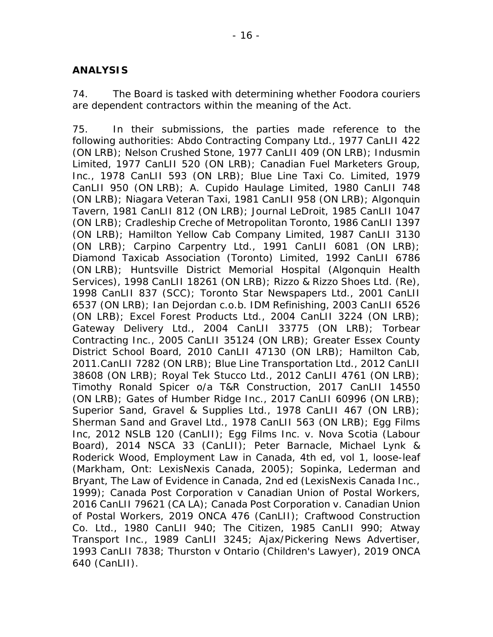#### **ANALYSIS**

74. The Board is tasked with determining whether Foodora couriers are dependent contractors within the meaning of the Act.

75. In their submissions, the parties made reference to the following authorities: *Abdo Contracting Company Ltd*., 1977 CanLII 422 (ON LRB); *Nelson Crushed Stone*, 1977 CanLII 409 (ON LRB); *Indusmin Limited*, 1977 CanLII 520 (ON LRB); *Canadian Fuel Marketers Group, Inc.*, 1978 CanLII 593 (ON LRB); *Blue Line Taxi Co. Limited*, 1979 CanLII 950 (ON LRB); *A. Cupido Haulage Limited*, 1980 CanLII 748 (ON LRB); *Niagara Veteran Taxi*, 1981 CanLII 958 (ON LRB); *Algonquin Tavern*, 1981 CanLII 812 (ON LRB); *Journal LeDroit*, 1985 CanLII 1047 (ON LRB); *Cradleship Creche of Metropolitan Toronto*, 1986 CanLII 1397 (ON LRB); *Hamilton Yellow Cab Company Limited*, 1987 CanLII 3130 (ON LRB); *Carpino Carpentry Ltd*., 1991 CanLII 6081 (ON LRB); *Diamond Taxicab Association (Toronto) Limited*, 1992 CanLII 6786 (ON LRB); *Huntsville District Memorial Hospital (Algonquin Health Services)*, 1998 CanLII 18261 (ON LRB); *Rizzo & Rizzo Shoes Ltd. (Re)*, 1998 CanLII 837 (SCC); *Toronto Star Newspapers Ltd.*, 2001 CanLII 6537 (ON LRB); *Ian Dejordan c.o.b. IDM Refinishing*, 2003 CanLII 6526 (ON LRB); *Excel Forest Products Ltd*., 2004 CanLII 3224 (ON LRB); *Gateway Delivery Ltd*., 2004 CanLII 33775 (ON LRB); *Torbear Contracting Inc*., 2005 CanLII 35124 (ON LRB); *Greater Essex County District School Board*, 2010 CanLII 47130 (ON LRB); *Hamilton Cab*, 2011.CanLII 7282 (ON LRB); *Blue Line Transportation Ltd*., 2012 CanLII 38608 (ON LRB); *Royal Tek Stucco Ltd*., 2012 CanLII 4761 (ON LRB); *Timothy Ronald Spicer o/a T&R Construction*, 2017 CanLII 14550 (ON LRB); *Gates of Humber Ridge Inc*., 2017 CanLII 60996 (ON LRB); *Superior Sand, Gravel & Supplies Ltd*., 1978 CanLII 467 (ON LRB); *Sherman Sand and Gravel Ltd*., 1978 CanLII 563 (ON LRB); *Egg Films Inc*, 2012 NSLB 120 (CanLII); *Egg Films Inc. v. Nova Scotia (Labour Board)*, 2014 NSCA 33 (CanLII); Peter Barnacle, Michael Lynk & Roderick Wood, *Employment Law in Canada*, 4th ed, vol 1, loose-leaf (Markham, Ont: LexisNexis Canada, 2005); Sopinka, Lederman and Bryant, *The Law of Evidence in Canada*, 2nd ed (LexisNexis Canada Inc., 1999); *Canada Post Corporation v Canadian Union of Postal Workers*, 2016 CanLII 79621 (CA LA); *Canada Post Corporation v. Canadian Union of Postal Workers*, 2019 ONCA 476 (CanLII); *Craftwood Construction Co. Ltd*., 1980 CanLII 940; *The Citizen*, 1985 CanLII 990; *Atway Transport Inc*., 1989 CanLII 3245; *Ajax/Pickering News Advertiser*, 1993 CanLII 7838; *Thurston v Ontario (Children's Lawyer)*, 2019 ONCA 640 (CanLII).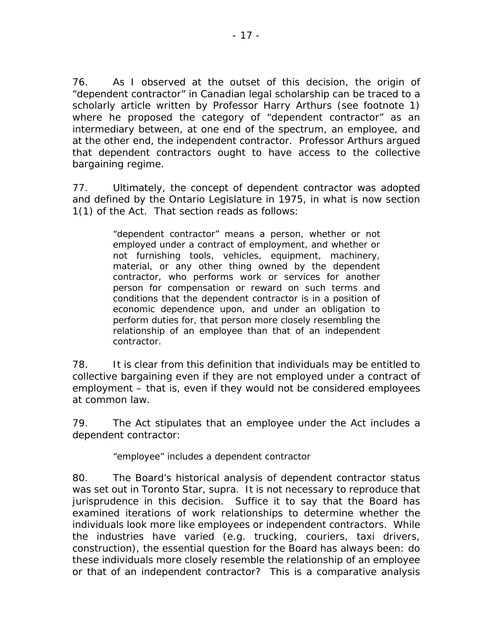76. As I observed at the outset of this decision, the origin of "dependent contractor" in Canadian legal scholarship can be traced to a scholarly article written by Professor Harry Arthurs (see footnote 1) where he proposed the category of "dependent contractor" as an intermediary between, at one end of the spectrum, an employee, and at the other end, the independent contractor. Professor Arthurs argued that dependent contractors ought to have access to the collective bargaining regime.

77. Ultimately, the concept of dependent contractor was adopted and defined by the Ontario Legislature in 1975, in what is now section 1(1) of the Act. That section reads as follows:

> "dependent contractor" means a person, whether or not employed under a contract of employment, and whether or not furnishing tools, vehicles, equipment, machinery, material, or any other thing owned by the dependent contractor, who performs work or services for another person for compensation or reward on such terms and conditions that the dependent contractor is in a position of economic dependence upon, and under an obligation to perform duties for, that person more closely resembling the relationship of an employee than that of an independent contractor.

78. It is clear from this definition that individuals *may* be entitled to collective bargaining even if they are not employed under a contract of employment – that is, even if they would not be considered employees at common law.

79. The Act stipulates that an employee under the Act includes a dependent contractor:

"employee" includes a dependent contractor

80. The Board's historical analysis of dependent contractor status was set out in *Toronto Star, supra*. It is not necessary to reproduce that jurisprudence in this decision. Suffice it to say that the Board has examined iterations of work relationships to determine whether the individuals look more like employees or independent contractors. While the industries have varied (e.g. trucking, couriers, taxi drivers, construction), the essential question for the Board has always been: do these individuals more closely resemble the relationship of an employee or that of an independent contractor? This is a comparative analysis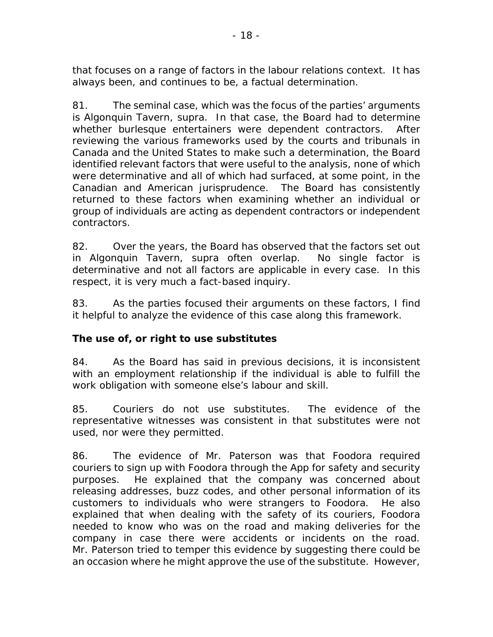that focuses on a range of factors in the labour relations context. It has always been, and continues to be, a factual determination.

81. The seminal case, which was the focus of the parties' arguments is *Algonquin Tavern, supra*. In that case, the Board had to determine whether burlesque entertainers were dependent contractors. After reviewing the various frameworks used by the courts and tribunals in Canada and the United States to make such a determination, the Board identified relevant factors that were useful to the analysis, none of which were determinative and all of which had surfaced, at some point, in the Canadian and American jurisprudence. The Board has consistently returned to these factors when examining whether an individual or group of individuals are acting as dependent contractors or independent contractors.

82. Over the years, the Board has observed that the factors set out in *Algonquin Tavern, supra* often overlap. No single factor is determinative and not all factors are applicable in every case. In this respect, it is very much a fact-based inquiry.

83. As the parties focused their arguments on these factors, I find it helpful to analyze the evidence of this case along this framework.

# **The use of, or right to use substitutes**

84. As the Board has said in previous decisions, it is inconsistent with an employment relationship if the individual is able to fulfill the work obligation with someone else's labour and skill.

85. Couriers do not use substitutes. The evidence of the representative witnesses was consistent in that substitutes were not used, nor were they permitted.

86. The evidence of Mr. Paterson was that Foodora required couriers to sign up with Foodora through the App for safety and security purposes. He explained that the company was concerned about releasing addresses, buzz codes, and other personal information of its customers to individuals who were strangers to Foodora. He also explained that when dealing with the safety of its couriers, Foodora needed to know who was on the road and making deliveries for the company in case there were accidents or incidents on the road. Mr. Paterson tried to temper this evidence by suggesting there could be an occasion where he might approve the use of the substitute. However,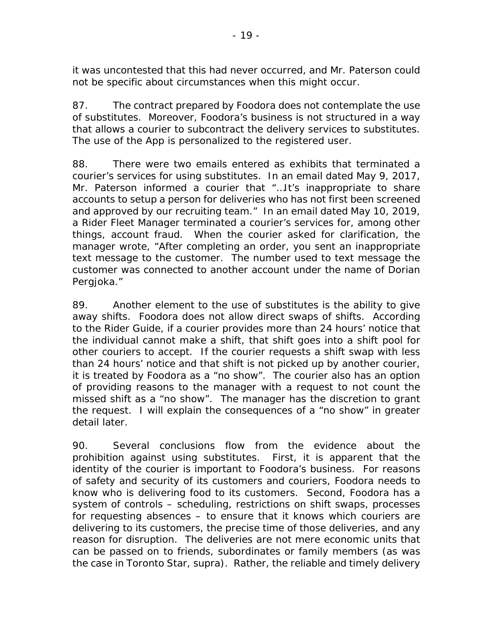it was uncontested that this had never occurred, and Mr. Paterson could not be specific about circumstances when this might occur.

87. The contract prepared by Foodora does not contemplate the use of substitutes. Moreover, Foodora's business is not structured in a way that allows a courier to subcontract the delivery services to substitutes. The use of the App is personalized to the registered user.

88. There were two emails entered as exhibits that terminated a courier's services for using substitutes. In an email dated May 9, 2017, Mr. Paterson informed a courier that "…It's inappropriate to share accounts to setup a person for deliveries who has not first been screened and approved by our recruiting team." In an email dated May 10, 2019, a Rider Fleet Manager terminated a courier's services for, among other things, account fraud. When the courier asked for clarification, the manager wrote, "After completing an order, you sent an inappropriate text message to the customer. The number used to text message the customer was connected to another account under the name of Dorian Pergjoka."

89. Another element to the use of substitutes is the ability to give away shifts. Foodora does not allow direct swaps of shifts. According to the Rider Guide, if a courier provides more than 24 hours' notice that the individual cannot make a shift, that shift goes into a shift pool for other couriers to accept. If the courier requests a shift swap with less than 24 hours' notice and that shift is not picked up by another courier, it is treated by Foodora as a "no show". The courier also has an option of providing reasons to the manager with a request to not count the missed shift as a "no show". The manager has the discretion to grant the request. I will explain the consequences of a "no show" in greater detail later.

90. Several conclusions flow from the evidence about the prohibition against using substitutes. First, it is apparent that the identity of the courier is important to Foodora's business. For reasons of safety and security of its customers and couriers, Foodora needs to know who is delivering food to its customers. Second, Foodora has a system of controls – scheduling, restrictions on shift swaps, processes for requesting absences – to ensure that it knows which couriers are delivering to its customers, the precise time of those deliveries, and any reason for disruption. The deliveries are not mere economic units that can be passed on to friends, subordinates or family members (as was the case in *Toronto Star, supra*). Rather, the reliable and timely delivery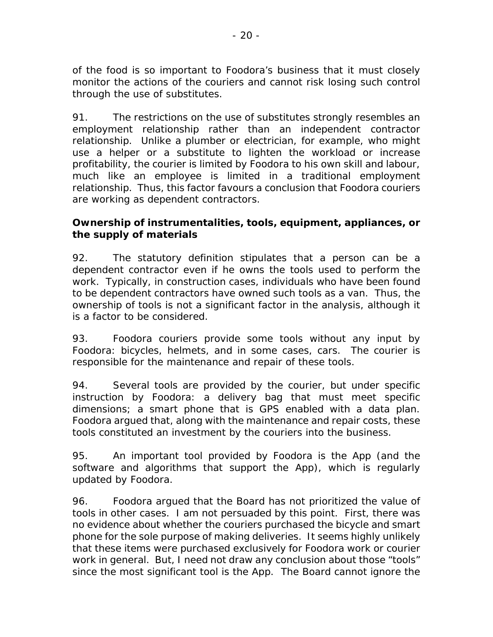of the food is so important to Foodora's business that it must closely monitor the actions of the couriers and cannot risk losing such control through the use of substitutes.

91. The restrictions on the use of substitutes strongly resembles an employment relationship rather than an independent contractor relationship. Unlike a plumber or electrician, for example, who might use a helper or a substitute to lighten the workload or increase profitability, the courier is limited by Foodora to his own skill and labour, much like an employee is limited in a traditional employment relationship. Thus, this factor favours a conclusion that Foodora couriers are working as dependent contractors.

#### **Ownership of instrumentalities, tools, equipment, appliances, or the supply of materials**

92. The statutory definition stipulates that a person can be a dependent contractor even if he owns the tools used to perform the work. Typically, in construction cases, individuals who have been found to be dependent contractors have owned such tools as a van. Thus, the ownership of tools is not a significant factor in the analysis, although it is a factor to be considered.

93. Foodora couriers provide some tools without any input by Foodora: bicycles, helmets, and in some cases, cars. The courier is responsible for the maintenance and repair of these tools.

94. Several tools are provided by the courier, but under specific instruction by Foodora: a delivery bag that must meet specific dimensions; a smart phone that is GPS enabled with a data plan. Foodora argued that, along with the maintenance and repair costs, these tools constituted an investment by the couriers into the business.

95. An important tool provided by Foodora is the App (and the software and algorithms that support the App), which is regularly updated by Foodora.

96. Foodora argued that the Board has not prioritized the value of tools in other cases. I am not persuaded by this point. First, there was no evidence about whether the couriers purchased the bicycle and smart phone for the sole purpose of making deliveries. It seems highly unlikely that these items were purchased exclusively for Foodora work or courier work in general. But, I need not draw any conclusion about those "tools" since the most significant tool is the App. The Board cannot ignore the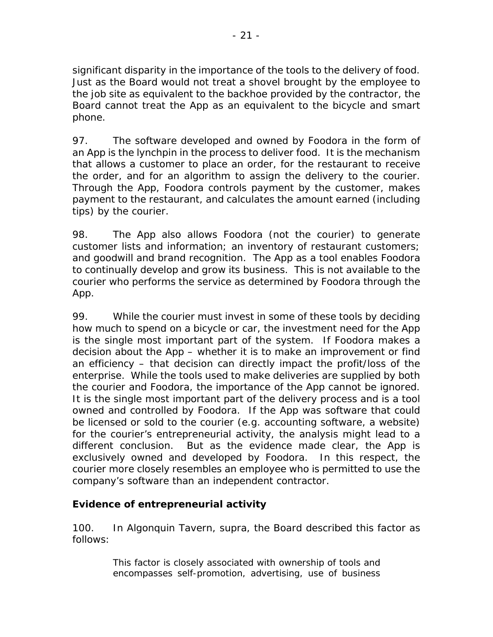significant disparity in the importance of the tools to the delivery of food. Just as the Board would not treat a shovel brought by the employee to the job site as equivalent to the backhoe provided by the contractor, the Board cannot treat the App as an equivalent to the bicycle and smart phone.

97. The software developed and owned by Foodora in the form of an App is the lynchpin in the process to deliver food. It is the mechanism that allows a customer to place an order, for the restaurant to receive the order, and for an algorithm to assign the delivery to the courier. Through the App, Foodora controls payment by the customer, makes payment to the restaurant, and calculates the amount earned (including tips) by the courier.

98. The App also allows Foodora (not the courier) to generate customer lists and information; an inventory of restaurant customers; and goodwill and brand recognition. The App as a tool enables Foodora to continually develop and grow its business. This is not available to the courier who performs the service as determined by Foodora through the App.

99. While the courier must invest in some of these tools by deciding how much to spend on a bicycle or car, the investment need for the App is the single most important part of the system. If Foodora makes a decision about the App – whether it is to make an improvement or find an efficiency – that decision can directly impact the profit/loss of the enterprise. While the tools used to make deliveries are supplied by both the courier and Foodora, the importance of the App cannot be ignored. It is the single most important part of the delivery process and is a tool owned and controlled by Foodora. If the App was software that could be licensed or sold to the courier (e.g. accounting software, a website) for the courier's entrepreneurial activity, the analysis might lead to a different conclusion. But as the evidence made clear, the App is exclusively owned and developed by Foodora. In this respect, the courier more closely resembles an employee who is permitted to use the company's software than an independent contractor.

# **Evidence of entrepreneurial activity**

100. In *Algonquin Tavern, supra*, the Board described this factor as follows:

> *This factor is closely associated with ownership of tools and encompasses self-promotion, advertising, use of business*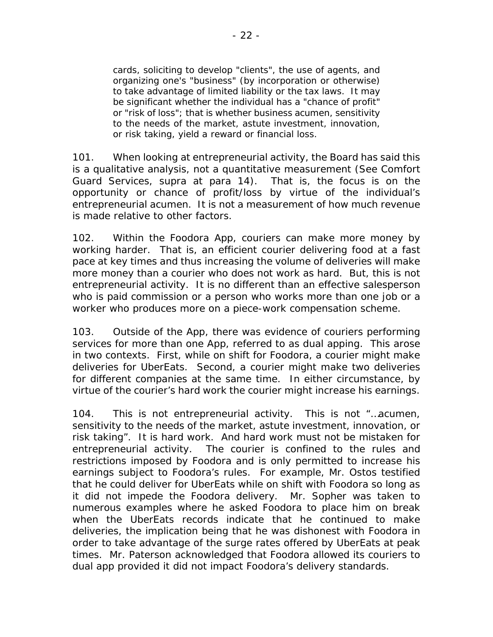*cards, soliciting to develop "clients", the use of agents, and organizing one's "business" (by incorporation or otherwise) to take advantage of limited liability or the tax laws. It may be significant whether the individual has a "chance of profit" or "risk of loss"; that is whether business acumen, sensitivity to the needs of the market, astute investment, innovation, or risk taking, yield a reward or financial loss.*

101. When looking at entrepreneurial activity, the Board has said this is a qualitative analysis, not a quantitative measurement (See *Comfort Guard Services*, *supra* at para 14). That is, the focus is on the opportunity or chance of profit/loss by virtue of the individual's entrepreneurial acumen. It is not a measurement of how much revenue is made relative to other factors.

102. Within the Foodora App, couriers can make more money by working harder. That is, an efficient courier delivering food at a fast pace at key times and thus increasing the volume of deliveries will make more money than a courier who does not work as hard. But, this is not entrepreneurial activity. It is no different than an effective salesperson who is paid commission or a person who works more than one job or a worker who produces more on a piece-work compensation scheme.

103. Outside of the App, there was evidence of couriers performing services for more than one App, referred to as dual apping. This arose in two contexts. First, while on shift for Foodora, a courier might make deliveries for UberEats. Second, a courier might make two deliveries for different companies at the same time. In either circumstance, by virtue of the courier's hard work the courier might increase his earnings.

104. This is not entrepreneurial activity. This is not "…*acumen, sensitivity to the needs of the market, astute investment, innovation, or risk taking*". It is hard work. And hard work must not be mistaken for entrepreneurial activity. The courier is confined to the rules and restrictions imposed by Foodora and is only permitted to increase his earnings subject to Foodora's rules. For example, Mr. Ostos testified that he could deliver for UberEats while on shift with Foodora so long as it did not impede the Foodora delivery. Mr. Sopher was taken to numerous examples where he asked Foodora to place him on break when the UberEats records indicate that he continued to make deliveries, the implication being that he was dishonest with Foodora in order to take advantage of the surge rates offered by UberEats at peak times. Mr. Paterson acknowledged that Foodora allowed its couriers to dual app provided it did not impact Foodora's delivery standards.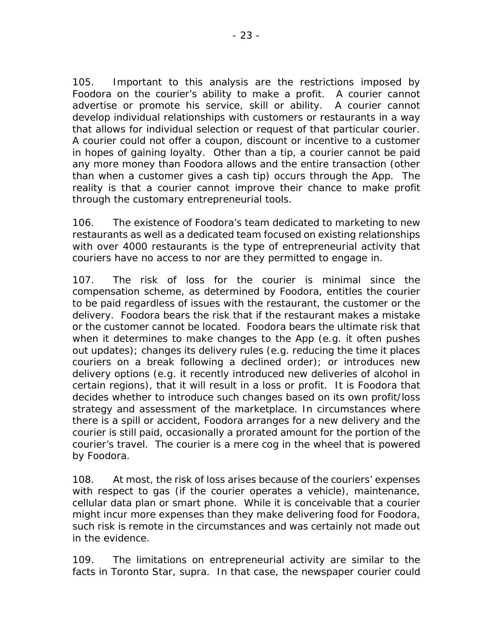105. Important to this analysis are the restrictions imposed by Foodora on the courier's ability to make a profit. A courier cannot advertise or promote his service, skill or ability. A courier cannot develop individual relationships with customers or restaurants in a way that allows for individual selection or request of that particular courier. A courier could not offer a coupon, discount or incentive to a customer in hopes of gaining loyalty. Other than a tip, a courier cannot be paid any more money than Foodora allows and the entire transaction (other than when a customer gives a cash tip) occurs through the App. The reality is that a courier cannot improve their chance to make profit through the customary entrepreneurial tools.

106. The existence of Foodora's team dedicated to marketing to new restaurants as well as a dedicated team focused on existing relationships with over 4000 restaurants is the type of entrepreneurial activity that couriers have no access to nor are they permitted to engage in.

107. The risk of loss for the courier is minimal since the compensation scheme, as determined by Foodora, entitles the courier to be paid regardless of issues with the restaurant, the customer or the delivery. Foodora bears the risk that if the restaurant makes a mistake or the customer cannot be located. Foodora bears the ultimate risk that when it determines to make changes to the App (e.g. it often pushes out updates); changes its delivery rules (e.g. reducing the time it places couriers on a break following a declined order); or introduces new delivery options (e.g. it recently introduced new deliveries of alcohol in certain regions), that it will result in a loss or profit. It is Foodora that decides whether to introduce such changes based on its own profit/loss strategy and assessment of the marketplace. In circumstances where there is a spill or accident, Foodora arranges for a new delivery and the courier is still paid, occasionally a prorated amount for the portion of the courier's travel. The courier is a mere cog in the wheel that is powered by Foodora.

108. At most, the risk of loss arises because of the couriers' expenses with respect to gas (if the courier operates a vehicle), maintenance, cellular data plan or smart phone. While it is conceivable that a courier might incur more expenses than they make delivering food for Foodora, such risk is remote in the circumstances and was certainly not made out in the evidence.

109. The limitations on entrepreneurial activity are similar to the facts in *Toronto Star, supra*. In that case, the newspaper courier could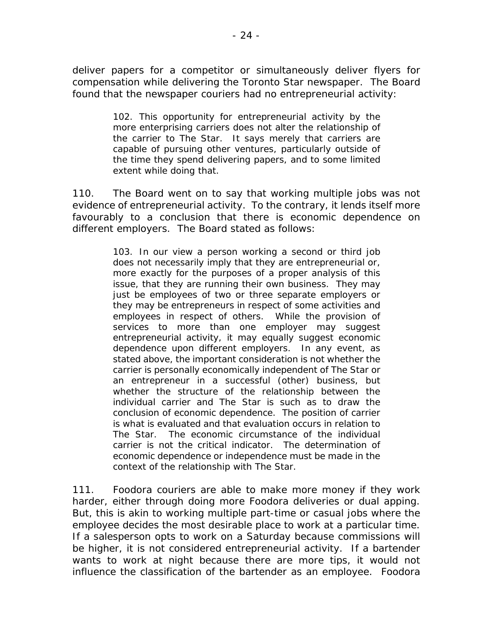deliver papers for a competitor or simultaneously deliver flyers for compensation while delivering the Toronto Star newspaper. The Board found that the newspaper couriers had no entrepreneurial activity:

> 102. This opportunity for entrepreneurial activity by the more enterprising carriers does not alter the relationship of the carrier to The Star. It says merely that carriers are capable of pursuing other ventures, particularly outside of the time they spend delivering papers, and to some limited extent while doing that.

110. The Board went on to say that working multiple jobs was not evidence of entrepreneurial activity. To the contrary, it lends itself more favourably to a conclusion that there is economic dependence on different employers. The Board stated as follows:

> 103. In our view a person working a second or third job does not necessarily imply that they are entrepreneurial or, more exactly for the purposes of a proper analysis of this issue, that they are running their own business. They may just be employees of two or three separate employers or they may be entrepreneurs in respect of some activities and employees in respect of others. While the provision of services to more than one employer may suggest entrepreneurial activity, it may equally suggest economic dependence upon different employers. In any event, as stated above, the important consideration is not whether the carrier is personally economically independent of The Star or an entrepreneur in a successful (other) business, but whether the structure of the relationship between the individual carrier and The Star is such as to draw the conclusion of economic dependence. The position of carrier is what is evaluated and that evaluation occurs in relation to The Star. The economic circumstance of the individual carrier is not the critical indicator. The determination of economic dependence or independence must be made *in the context of the relationship with The Star*.

111. Foodora couriers are able to make more money if they work harder, either through doing more Foodora deliveries or dual apping. But, this is akin to working multiple part-time or casual jobs where the employee decides the most desirable place to work at a particular time. If a salesperson opts to work on a Saturday because commissions will be higher, it is not considered entrepreneurial activity. If a bartender wants to work at night because there are more tips, it would not influence the classification of the bartender as an employee. Foodora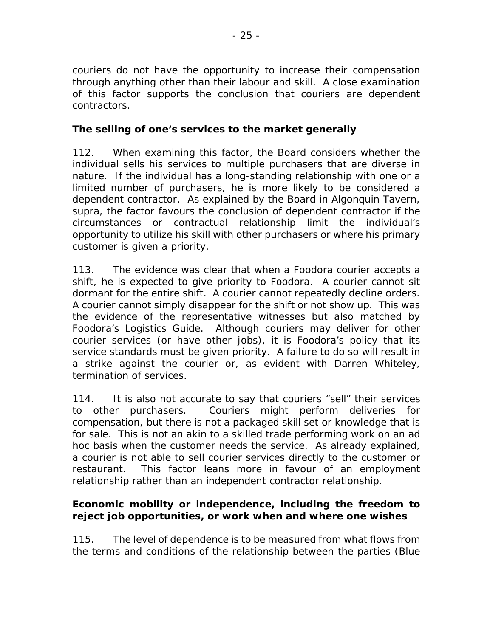couriers do not have the opportunity to increase their compensation through anything other than their labour and skill. A close examination of this factor supports the conclusion that couriers are dependent contractors.

# **The selling of one's services to the market generally**

112. When examining this factor, the Board considers whether the individual sells his services to multiple purchasers that are diverse in nature. If the individual has a long-standing relationship with one or a limited number of purchasers, he is more likely to be considered a dependent contractor. As explained by the Board in *Algonquin Tavern, supra*, the factor favours the conclusion of dependent contractor if the circumstances or contractual relationship limit the individual's opportunity to utilize his skill with other purchasers or where his primary customer is given a priority.

113. The evidence was clear that when a Foodora courier accepts a shift, he is expected to give priority to Foodora. A courier cannot sit dormant for the entire shift. A courier cannot repeatedly decline orders. A courier cannot simply disappear for the shift or not show up. This was the evidence of the representative witnesses but also matched by Foodora's Logistics Guide. Although couriers may deliver for other courier services (or have other jobs), it is Foodora's policy that its service standards must be given priority. A failure to do so will result in a strike against the courier or, as evident with Darren Whiteley, termination of services.

114. It is also not accurate to say that couriers "sell" their services to other purchasers. Couriers might perform deliveries for compensation, but there is not a packaged skill set or knowledge that is for sale. This is not an akin to a skilled trade performing work on an *ad hoc* basis when the customer needs the service. As already explained, a courier is not able to sell courier services directly to the customer or restaurant. This factor leans more in favour of an employment relationship rather than an independent contractor relationship.

# **Economic mobility or independence, including the freedom to reject job opportunities, or work when and where one wishes**

115. The level of dependence is to be measured from what flows from the terms and conditions of the relationship between the parties (*Blue*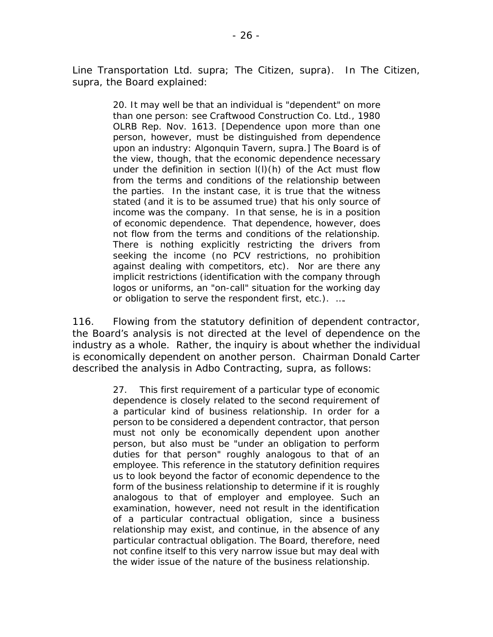*Line Transportation Ltd*. *supra*; *The Citizen, supra*). In *The Citizen, supra*, the Board explained:

> 20. It may well be that an individual is "dependent" on more than one person: see *Craftwood Construction Co. Ltd.,* 1980 OLRB Rep. Nov. 1613. [Dependence upon more than one person, however, must be distinguished from dependence upon an industry: *Algonquin Tavern, supra.*] The Board is of the view, though, that the economic dependence necessary under the definition in section l(l)(h) of the Act must flow from the terms and conditions of the relationship between the parties. In the instant case, it is true that the witness stated (and it is to be assumed true) that his only source of income was the company. In that sense, he is in a position of economic dependence. That dependence, however, does not flow from the terms and conditions of the relationship. There is nothing explicitly restricting the drivers from seeking the income (no PCV restrictions, no prohibition against dealing with competitors, etc). Nor are there any implicit restrictions (identification with the company through logos or uniforms, an "on-call" situation for the working day or obligation to serve the respondent first, etc.). ….

116. Flowing from the statutory definition of dependent contractor, the Board's analysis is not directed at the level of dependence on the industry as a whole. Rather, the inquiry is about whether the individual is economically dependent on another person. Chairman Donald Carter described the analysis in *Adbo Contracting, supra*, as follows:

> 27. This first requirement of a particular type of economic dependence is closely related to the second requirement of a particular kind of business relationship. In order for a person to be considered a dependent contractor, that person must not only be economically dependent upon another person, but also must be "under an obligation to perform duties for that person" roughly analogous to that of an employee. This reference in the statutory definition requires us to look beyond the factor of economic dependence to the form of the business relationship to determine if it is roughly analogous to that of employer and employee. Such an examination, however, need not result in the identification of a particular contractual obligation, since a business relationship may exist, and continue, in the absence of any particular contractual obligation. The Board, therefore, need not confine itself to this very narrow issue but may deal with the wider issue of the nature of the business relationship.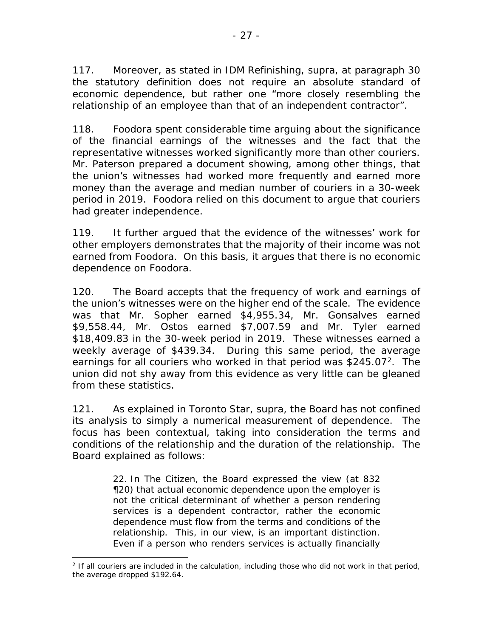117. Moreover, as stated in *IDM Refinishing, supra*, at paragraph 30 the statutory definition does not require an absolute standard of economic dependence, but rather one "more closely resembling the relationship of an employee than that of an independent contractor".

118. Foodora spent considerable time arguing about the significance of the financial earnings of the witnesses and the fact that the representative witnesses worked significantly more than other couriers. Mr. Paterson prepared a document showing, among other things, that the union's witnesses had worked more frequently and earned more money than the average and median number of couriers in a 30-week period in 2019. Foodora relied on this document to argue that couriers had greater independence.

119. It further argued that the evidence of the witnesses' work for other employers demonstrates that the majority of their income was not earned from Foodora. On this basis, it argues that there is no economic dependence on Foodora.

120. The Board accepts that the frequency of work and earnings of the union's witnesses were on the higher end of the scale. The evidence was that Mr. Sopher earned \$4,955.34, Mr. Gonsalves earned \$9,558.44, Mr. Ostos earned \$7,007.59 and Mr. Tyler earned \$18,409.83 in the 30-week period in 2019. These witnesses earned a weekly average of \$439.34. During this same period, the average earnings for all couriers who worked in that period was \$[2](#page-26-0)45.07<sup>2</sup>. The union did not shy away from this evidence as very little can be gleaned from these statistics.

121. As explained in *Toronto Star, supra*, the Board has not confined its analysis to simply a numerical measurement of dependence. The focus has been contextual, taking into consideration the terms and conditions of the relationship and the duration of the relationship. The Board explained as follows:

> 22. In *The Citizen*, the Board expressed the view (at 832 ¶20) that actual economic dependence upon the employer is not the critical determinant of whether a person rendering services is a dependent contractor, rather the economic dependence must flow from the terms and conditions of the relationship. This, in our view, is an important distinction. Even if a person who renders services is actually financially

<span id="page-26-0"></span> $\overline{a}$ <sup>2</sup> If all couriers are included in the calculation, including those who did not work in that period, the average dropped \$192.64.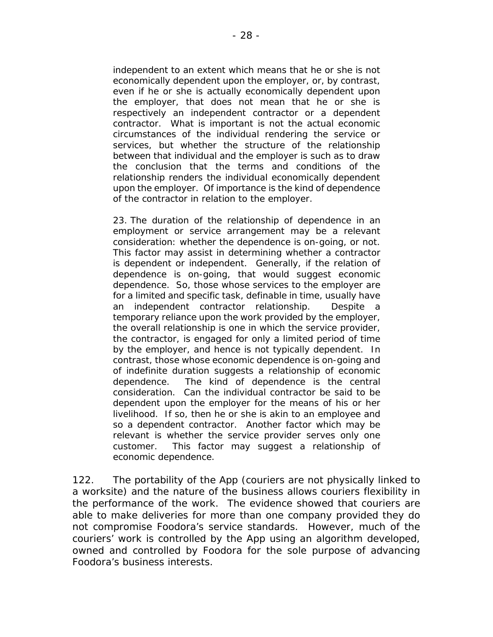independent to an extent which means that he or she is not economically dependent upon the employer, or, by contrast, even if he or she is actually economically dependent upon the employer, that does not mean that he or she is respectively an independent contractor or a dependent contractor. What is important is not the actual economic circumstances of the individual rendering the service or services, but whether the structure of the relationship between that individual and the employer is such as to draw the conclusion that the terms and conditions of the relationship renders the individual economically dependent upon the employer. Of importance is the kind of dependence of the contractor in relation to the employer.

23. The duration of the relationship of dependence in an employment or service arrangement may be a relevant consideration: whether the dependence is on-going, or not. This factor may assist in determining whether a contractor is dependent or independent. Generally, if the relation of dependence is on-going, that would suggest economic dependence. So, those whose services to the employer are for a limited and specific task, definable in time, usually have an independent contractor relationship. Despite a temporary reliance upon the work provided by the employer, the overall relationship is one in which the service provider, the contractor, is engaged for only a limited period of time by the employer, and hence is not typically dependent. In contrast, those whose economic dependence is on-going and of indefinite duration suggests a relationship of economic dependence. The kind of dependence is the central consideration. Can the individual contractor be said to be dependent upon the employer for the means of his or her livelihood. If so, then he or she is akin to an employee and so a dependent contractor. Another factor which may be relevant is whether the service provider serves only one customer. This factor may suggest a relationship of economic dependence.

122. The portability of the App (couriers are not physically linked to a worksite) and the nature of the business allows couriers flexibility in the performance of the work. The evidence showed that couriers are able to make deliveries for more than one company provided they do not compromise Foodora's service standards. However, much of the couriers' work is controlled by the App using an algorithm developed, owned and controlled by Foodora for the sole purpose of advancing Foodora's business interests.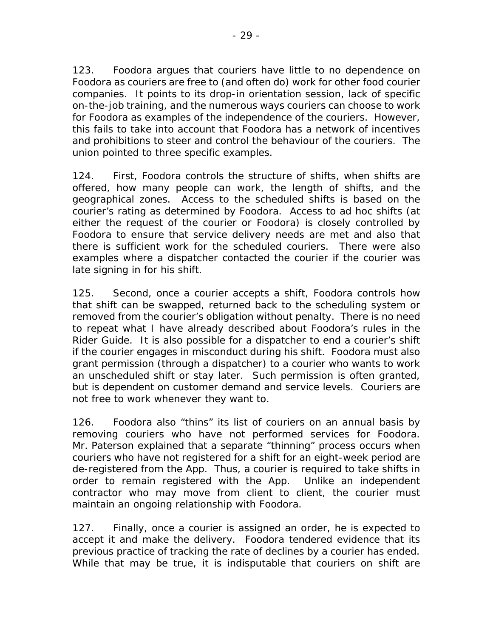123. Foodora argues that couriers have little to no dependence on Foodora as couriers are free to (and often do) work for other food courier companies. It points to its drop-in orientation session, lack of specific on-the-job training, and the numerous ways couriers can choose to work for Foodora as examples of the independence of the couriers. However, this fails to take into account that Foodora has a network of incentives and prohibitions to steer and control the behaviour of the couriers. The union pointed to three specific examples.

124. First, Foodora controls the structure of shifts, when shifts are offered, how many people can work, the length of shifts, and the geographical zones. Access to the scheduled shifts is based on the courier's rating as determined by Foodora. Access to *ad hoc* shifts (at either the request of the courier or Foodora) is closely controlled by Foodora to ensure that service delivery needs are met and also that there is sufficient work for the scheduled couriers. There were also examples where a dispatcher contacted the courier if the courier was late signing in for his shift.

125. Second, once a courier accepts a shift, Foodora controls how that shift can be swapped, returned back to the scheduling system or removed from the courier's obligation without penalty. There is no need to repeat what I have already described about Foodora's rules in the Rider Guide. It is also possible for a dispatcher to end a courier's shift if the courier engages in misconduct during his shift. Foodora must also grant permission (through a dispatcher) to a courier who wants to work an unscheduled shift or stay later. Such permission is often granted, but is dependent on customer demand and service levels. Couriers are not free to work whenever they want to.

126. Foodora also "thins" its list of couriers on an annual basis by removing couriers who have not performed services for Foodora. Mr. Paterson explained that a separate "thinning" process occurs when couriers who have not registered for a shift for an eight-week period are de-registered from the App. Thus, a courier is required to take shifts in order to remain registered with the App. Unlike an independent contractor who may move from client to client, the courier must maintain an ongoing relationship with Foodora.

127. Finally, once a courier is assigned an order, he is expected to accept it and make the delivery. Foodora tendered evidence that its previous practice of tracking the rate of declines by a courier has ended. While that may be true, it is indisputable that couriers on shift are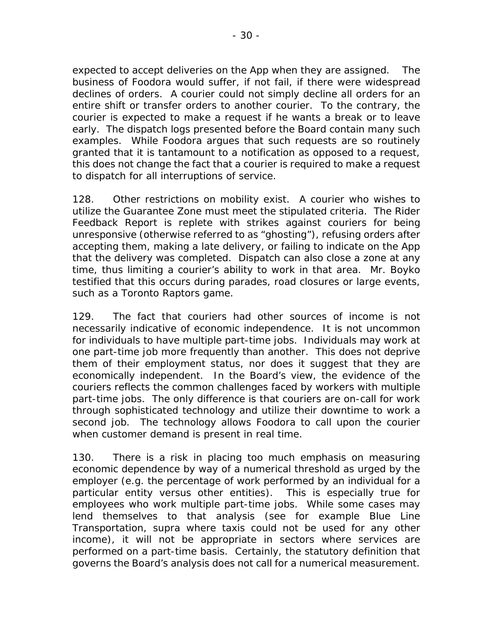expected to accept deliveries on the App when they are assigned. The business of Foodora would suffer, if not fail, if there were widespread declines of orders. A courier could not simply decline all orders for an entire shift or transfer orders to another courier. To the contrary, the courier is expected to make a request if he wants a break or to leave early. The dispatch logs presented before the Board contain many such examples. While Foodora argues that such requests are so routinely granted that it is tantamount to a notification as opposed to a request, this does not change the fact that a courier is required to make a request to dispatch for all interruptions of service.

128. Other restrictions on mobility exist. A courier who wishes to utilize the Guarantee Zone must meet the stipulated criteria. The Rider Feedback Report is replete with strikes against couriers for being unresponsive (otherwise referred to as "ghosting"), refusing orders after accepting them, making a late delivery, or failing to indicate on the App that the delivery was completed. Dispatch can also close a zone at any time, thus limiting a courier's ability to work in that area. Mr. Boyko testified that this occurs during parades, road closures or large events, such as a Toronto Raptors game.

129. The fact that couriers had other sources of income is not necessarily indicative of economic independence. It is not uncommon for individuals to have multiple part-time jobs. Individuals may work at one part-time job more frequently than another. This does not deprive them of their employment status, nor does it suggest that they are economically independent. In the Board's view, the evidence of the couriers reflects the common challenges faced by workers with multiple part-time jobs. The only difference is that couriers are on-call for work through sophisticated technology and utilize their downtime to work a second job. The technology allows Foodora to call upon the courier when customer demand is present in real time.

130. There is a risk in placing too much emphasis on measuring economic dependence by way of a numerical threshold as urged by the employer (e.g. the percentage of work performed by an individual for a particular entity versus other entities). This is especially true for employees who work multiple part-time jobs. While some cases may lend themselves to that analysis (see for example *Blue Line Transportation*, *supra* where taxis could not be used for any other income), it will not be appropriate in sectors where services are performed on a part-time basis. Certainly, the statutory definition that governs the Board's analysis does not call for a numerical measurement.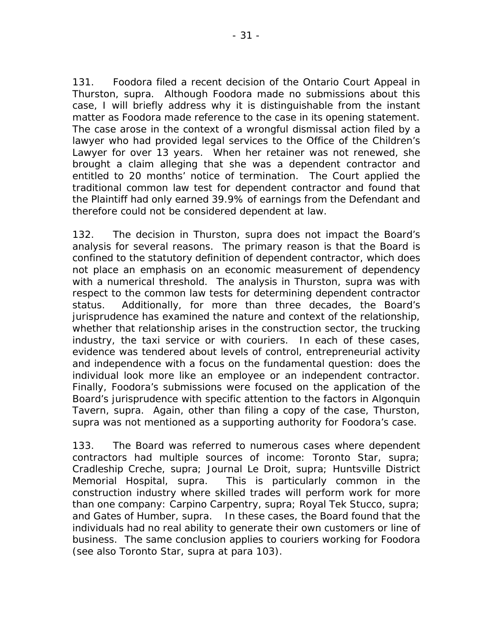131. Foodora filed a recent decision of the Ontario Court Appeal in *Thurston, supra*. Although Foodora made no submissions about this case, I will briefly address why it is distinguishable from the instant matter as Foodora made reference to the case in its opening statement. The case arose in the context of a wrongful dismissal action filed by a lawyer who had provided legal services to the Office of the Children's Lawyer for over 13 years. When her retainer was not renewed, she brought a claim alleging that she was a dependent contractor and entitled to 20 months' notice of termination. The Court applied the traditional common law test for dependent contractor and found that the Plaintiff had only earned 39.9% of earnings from the Defendant and therefore could not be considered dependent at law.

132. The decision in *Thurston, supra* does not impact the Board's analysis for several reasons. The primary reason is that the Board is confined to the statutory definition of dependent contractor, which does not place an emphasis on an economic measurement of dependency with a numerical threshold. The analysis in *Thurston, supra* was with respect to the common law tests for determining dependent contractor status. Additionally, for more than three decades, the Board's jurisprudence has examined the nature and context of the relationship, whether that relationship arises in the construction sector, the trucking industry, the taxi service or with couriers. In each of these cases, evidence was tendered about levels of control, entrepreneurial activity and independence with a focus on the fundamental question: does the individual look more like an employee or an independent contractor. Finally, Foodora's submissions were focused on the application of the Board's jurisprudence with specific attention to the factors in *Algonquin Tavern, supra*. Again, other than filing a copy of the case, *Thurston, supra* was not mentioned as a supporting authority for Foodora's case.

133. The Board was referred to numerous cases where dependent contractors had multiple sources of income: *Toronto Star, supra*; *Cradleship Creche, supra*; *Journal Le Droit, supra*; *Huntsville District Memorial Hospital, supra*. This is particularly common in the construction industry where skilled trades will perform work for more than one company: *Carpino Carpentry, supra; Royal Tek Stucco, supra*; and *Gates of Humber, supra*. In these cases, the Board found that the individuals had no real ability to generate their own customers or line of business. The same conclusion applies to couriers working for Foodora (see also *Toronto Star, supra* at para 103).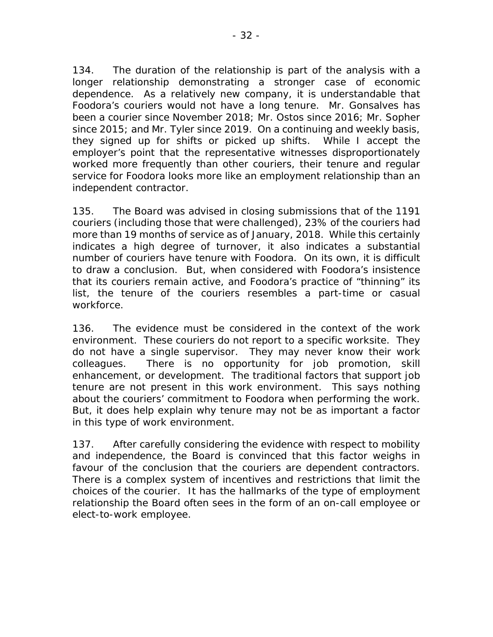134. The duration of the relationship is part of the analysis with a longer relationship demonstrating a stronger case of economic dependence. As a relatively new company, it is understandable that Foodora's couriers would not have a long tenure. Mr. Gonsalves has been a courier since November 2018; Mr. Ostos since 2016; Mr. Sopher since 2015; and Mr. Tyler since 2019. On a continuing and weekly basis, they signed up for shifts or picked up shifts. While I accept the employer's point that the representative witnesses disproportionately worked more frequently than other couriers, their tenure and regular service for Foodora looks more like an employment relationship than an independent contractor.

135. The Board was advised in closing submissions that of the 1191 couriers (including those that were challenged), 23% of the couriers had more than 19 months of service as of January, 2018. While this certainly indicates a high degree of turnover, it also indicates a substantial number of couriers have tenure with Foodora. On its own, it is difficult to draw a conclusion. But, when considered with Foodora's insistence that its couriers remain active, and Foodora's practice of "thinning" its list, the tenure of the couriers resembles a part-time or casual workforce.

136. The evidence must be considered in the context of the work environment. These couriers do not report to a specific worksite. They do not have a single supervisor. They may never know their work colleagues. There is no opportunity for job promotion, skill enhancement, or development. The traditional factors that support job tenure are not present in this work environment. This says nothing about the couriers' commitment to Foodora when performing the work. But, it does help explain why tenure may not be as important a factor in this type of work environment.

137. After carefully considering the evidence with respect to mobility and independence, the Board is convinced that this factor weighs in favour of the conclusion that the couriers are dependent contractors. There is a complex system of incentives and restrictions that limit the choices of the courier. It has the hallmarks of the type of employment relationship the Board often sees in the form of an on-call employee or elect-to-work employee.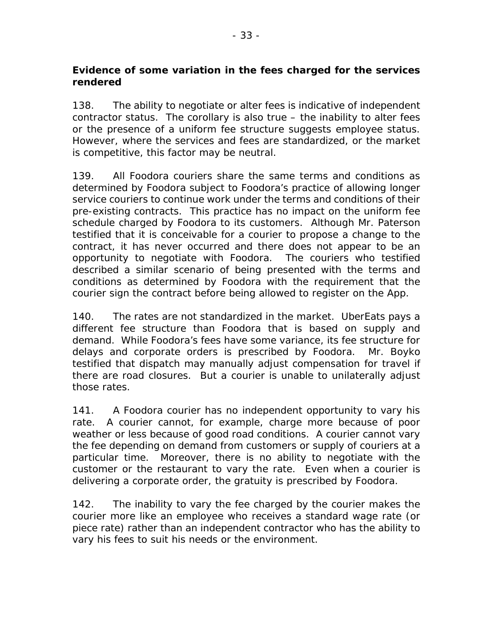#### **Evidence of some variation in the fees charged for the services rendered**

138. The ability to negotiate or alter fees is indicative of independent contractor status. The corollary is also true – the inability to alter fees or the presence of a uniform fee structure suggests employee status. However, where the services and fees are standardized, or the market is competitive, this factor may be neutral.

139. All Foodora couriers share the same terms and conditions as determined by Foodora subject to Foodora's practice of allowing longer service couriers to continue work under the terms and conditions of their pre-existing contracts. This practice has no impact on the uniform fee schedule charged by Foodora to its customers. Although Mr. Paterson testified that it is conceivable for a courier to propose a change to the contract, it has never occurred and there does not appear to be an opportunity to negotiate with Foodora. The couriers who testified described a similar scenario of being presented with the terms and conditions as determined by Foodora with the requirement that the courier sign the contract before being allowed to register on the App.

140. The rates are not standardized in the market. UberEats pays a different fee structure than Foodora that is based on supply and demand. While Foodora's fees have some variance, its fee structure for delays and corporate orders is prescribed by Foodora. Mr. Boyko testified that dispatch may manually adjust compensation for travel if there are road closures. But a courier is unable to unilaterally adjust those rates.

141. A Foodora courier has no independent opportunity to vary his rate. A courier cannot, for example, charge more because of poor weather or less because of good road conditions. A courier cannot vary the fee depending on demand from customers or supply of couriers at a particular time. Moreover, there is no ability to negotiate with the customer or the restaurant to vary the rate. Even when a courier is delivering a corporate order, the gratuity is prescribed by Foodora.

142. The inability to vary the fee charged by the courier makes the courier more like an employee who receives a standard wage rate (or piece rate) rather than an independent contractor who has the ability to vary his fees to suit his needs or the environment.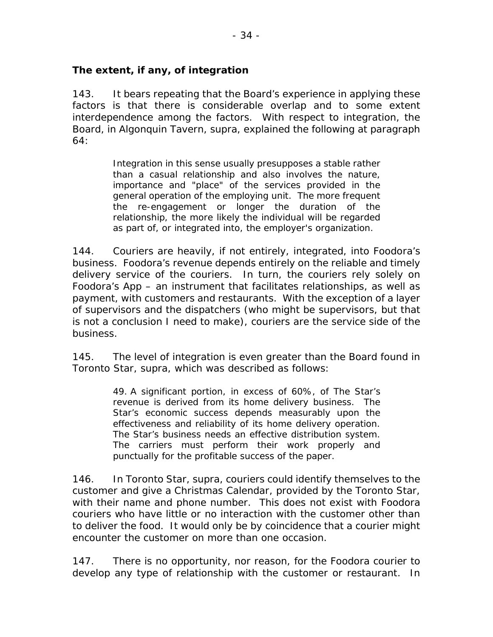#### **The extent, if any, of integration**

143. It bears repeating that the Board's experience in applying these factors is that there is considerable overlap and to some extent interdependence among the factors. With respect to integration, the Board, in *Algonquin Tavern, supra,* explained the following at paragraph 64:

> Integration in this sense usually presupposes a stable rather than a casual relationship and also involves the nature, importance and "place" of the services provided in the general operation of the employing unit. The more frequent the re-engagement or longer the duration of the relationship, the more likely the individual will be regarded as part of, or integrated into, the employer's organization.

144. Couriers are heavily, if not entirely, integrated, into Foodora's business. Foodora's revenue depends entirely on the reliable and timely delivery service of the couriers. In turn, the couriers rely solely on Foodora's App – an instrument that facilitates relationships, as well as payment, with customers and restaurants. With the exception of a layer of supervisors and the dispatchers (who might be supervisors, but that is not a conclusion I need to make), couriers are the service side of the business.

145. The level of integration is even greater than the Board found in *Toronto Star, supra*, which was described as follows:

> 49. A significant portion, in excess of 60%, of The Star's revenue is derived from its home delivery business. The Star's economic success depends measurably upon the effectiveness and reliability of its home delivery operation. The Star's business needs an effective distribution system. The carriers must perform their work properly and punctually for the profitable success of the paper.

146. In *Toronto Star, supra*, couriers could identify themselves to the customer and give a Christmas Calendar, provided by the Toronto Star, with their name and phone number. This does not exist with Foodora couriers who have little or no interaction with the customer other than to deliver the food. It would only be by coincidence that a courier might encounter the customer on more than one occasion.

147. There is no opportunity, nor reason, for the Foodora courier to develop any type of relationship with the customer or restaurant. In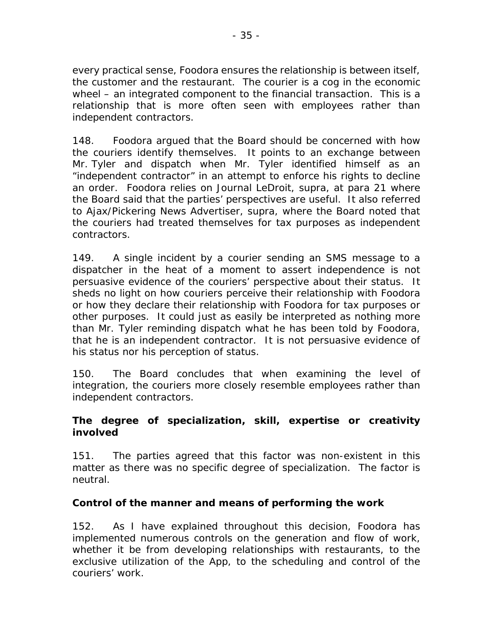every practical sense, Foodora ensures the relationship is between itself, the customer and the restaurant. The courier is a cog in the economic wheel – an integrated component to the financial transaction. This is a relationship that is more often seen with employees rather than independent contractors.

148. Foodora argued that the Board should be concerned with how the couriers identify themselves. It points to an exchange between Mr. Tyler and dispatch when Mr. Tyler identified himself as an "independent contractor" in an attempt to enforce his rights to decline an order. Foodora relies on *Journal LeDroit, supra,* at para 21 where the Board said that the parties' perspectives are useful. It also referred to *Ajax/Pickering News Advertiser, supra,* where the Board noted that the couriers had treated themselves for tax purposes as independent contractors.

149. A single incident by a courier sending an SMS message to a dispatcher in the heat of a moment to assert independence is not persuasive evidence of the couriers' perspective about their status. It sheds no light on how couriers perceive their relationship with Foodora or how they declare their relationship with Foodora for tax purposes or other purposes. It could just as easily be interpreted as nothing more than Mr. Tyler reminding dispatch what he has been told by Foodora, that he is an independent contractor. It is not persuasive evidence of his status nor his perception of status.

150. The Board concludes that when examining the level of integration, the couriers more closely resemble employees rather than independent contractors.

#### **The degree of specialization, skill, expertise or creativity involved**

151. The parties agreed that this factor was non-existent in this matter as there was no specific degree of specialization. The factor is neutral.

# **Control of the manner and means of performing the work**

152. As I have explained throughout this decision, Foodora has implemented numerous controls on the generation and flow of work, whether it be from developing relationships with restaurants, to the exclusive utilization of the App, to the scheduling and control of the couriers' work.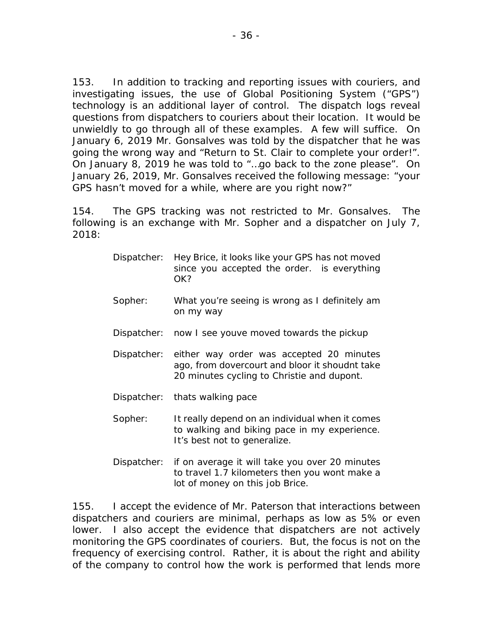153. In addition to tracking and reporting issues with couriers, and investigating issues, the use of Global Positioning System ("GPS") technology is an additional layer of control. The dispatch logs reveal questions from dispatchers to couriers about their location. It would be unwieldly to go through all of these examples. A few will suffice. On January 6, 2019 Mr. Gonsalves was told by the dispatcher that he was going the wrong way and "Return to St. Clair to complete your order!". On January 8, 2019 he was told to "…go back to the zone please". On January 26, 2019, Mr. Gonsalves received the following message: "your GPS hasn't moved for a while, where are you right now?"

154. The GPS tracking was not restricted to Mr. Gonsalves. The following is an exchange with Mr. Sopher and a dispatcher on July 7, 2018:

- Dispatcher: Hey Brice, it looks like your GPS has not moved since you accepted the order. is everything OK?
- Sopher: What you're seeing is wrong as I definitely am on my way
- Dispatcher: now I see youve moved towards the pickup
- Dispatcher: either way order was accepted 20 minutes ago, from dovercourt and bloor it shoudnt take 20 minutes cycling to Christie and dupont.
- Dispatcher: thats walking pace
- Sopher: It really depend on an individual when it comes to walking and biking pace in my experience. It's best not to generalize.
- Dispatcher: if on average it will take you over 20 minutes to travel 1.7 kilometers then you wont make a lot of money on this job Brice.

155. I accept the evidence of Mr. Paterson that interactions between dispatchers and couriers are minimal, perhaps as low as 5% or even lower. I also accept the evidence that dispatchers are not actively monitoring the GPS coordinates of couriers. But, the focus is not on the frequency of exercising control. Rather, it is about the right and ability of the company to control how the work is performed that lends more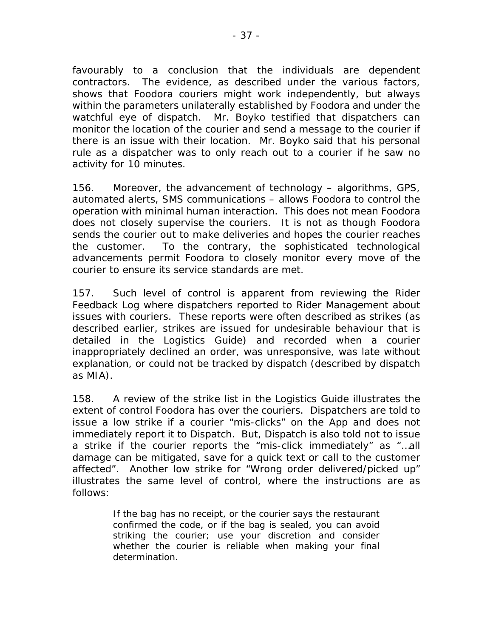favourably to a conclusion that the individuals are dependent contractors. The evidence, as described under the various factors, shows that Foodora couriers might work independently, but always within the parameters unilaterally established by Foodora and under the watchful eye of dispatch. Mr. Boyko testified that dispatchers can monitor the location of the courier and send a message to the courier if there is an issue with their location. Mr. Boyko said that his personal rule as a dispatcher was to only reach out to a courier if he saw no activity for 10 minutes.

156. Moreover, the advancement of technology – algorithms, GPS, automated alerts, SMS communications – allows Foodora to control the operation with minimal human interaction. This does not mean Foodora does not closely supervise the couriers. It is not as though Foodora sends the courier out to make deliveries and hopes the courier reaches the customer. To the contrary, the sophisticated technological advancements permit Foodora to closely monitor every move of the courier to ensure its service standards are met.

157. Such level of control is apparent from reviewing the Rider Feedback Log where dispatchers reported to Rider Management about issues with couriers. These reports were often described as strikes (as described earlier, strikes are issued for undesirable behaviour that is detailed in the Logistics Guide) and recorded when a courier inappropriately declined an order, was unresponsive, was late without explanation, or could not be tracked by dispatch (described by dispatch as MIA).

158. A review of the strike list in the Logistics Guide illustrates the extent of control Foodora has over the couriers. Dispatchers are told to issue a low strike if a courier "mis-clicks" on the App and does not immediately report it to Dispatch. But, Dispatch is also told not to issue a strike if the courier reports the "mis-click immediately" as "…all damage can be mitigated, save for a quick text or call to the customer affected". Another low strike for "Wrong order delivered/picked up" illustrates the same level of control, where the instructions are as follows:

> If the bag has no receipt, or the courier says the restaurant confirmed the code, or if the bag is sealed, you can avoid striking the courier; use your discretion and consider whether the courier is reliable when making your final determination.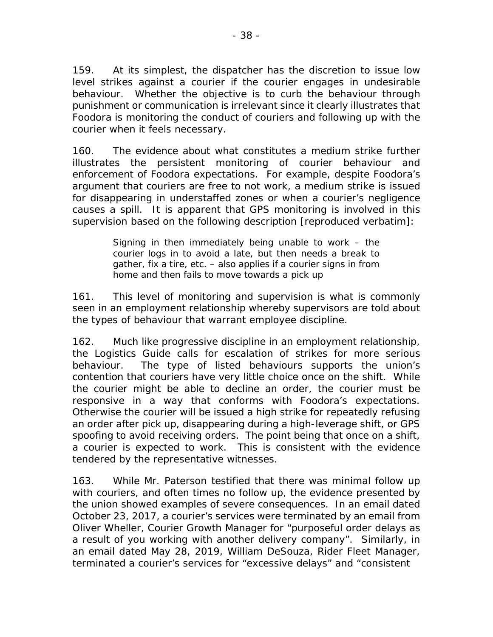159. At its simplest, the dispatcher has the discretion to issue low level strikes against a courier if the courier engages in undesirable behaviour. Whether the objective is to curb the behaviour through punishment or communication is irrelevant since it clearly illustrates that Foodora is monitoring the conduct of couriers and following up with the courier when it feels necessary.

160. The evidence about what constitutes a medium strike further illustrates the persistent monitoring of courier behaviour and enforcement of Foodora expectations. For example, despite Foodora's argument that couriers are free to not work, a medium strike is issued for disappearing in understaffed zones or when a courier's negligence causes a spill. It is apparent that GPS monitoring is involved in this supervision based on the following description [reproduced verbatim]:

> Signing in then immediately being unable to work – the courier logs in to avoid a late, but then needs a break to gather, fix a tire, etc. – also applies if a courier signs in from home and then fails to move towards a pick up

161. This level of monitoring and supervision is what is commonly seen in an employment relationship whereby supervisors are told about the types of behaviour that warrant employee discipline.

162. Much like progressive discipline in an employment relationship, the Logistics Guide calls for escalation of strikes for more serious behaviour. The type of listed behaviours supports the union's contention that couriers have very little choice once on the shift. While the courier might be able to decline an order, the courier must be responsive in a way that conforms with Foodora's expectations. Otherwise the courier will be issued a high strike for repeatedly refusing an order after pick up, disappearing during a high-leverage shift, or GPS spoofing to avoid receiving orders. The point being that once on a shift, a courier is expected to work. This is consistent with the evidence tendered by the representative witnesses.

163. While Mr. Paterson testified that there was minimal follow up with couriers, and often times no follow up, the evidence presented by the union showed examples of severe consequences. In an email dated October 23, 2017, a courier's services were terminated by an email from Oliver Wheller, Courier Growth Manager for "purposeful order delays as a result of you working with another delivery company". Similarly, in an email dated May 28, 2019, William DeSouza, Rider Fleet Manager, terminated a courier's services for "excessive delays" and "consistent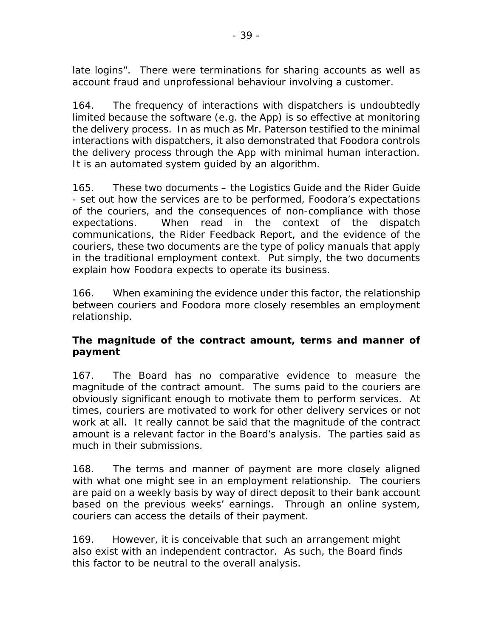late logins". There were terminations for sharing accounts as well as account fraud and unprofessional behaviour involving a customer.

164. The frequency of interactions with dispatchers is undoubtedly limited because the software (e.g. the App) is so effective at monitoring the delivery process. In as much as Mr. Paterson testified to the minimal interactions with dispatchers, it also demonstrated that Foodora controls the delivery process through the App with minimal human interaction. It is an automated system guided by an algorithm.

165. These two documents – the Logistics Guide and the Rider Guide - set out how the services are to be performed, Foodora's expectations of the couriers, and the consequences of non-compliance with those expectations. When read in the context of the dispatch communications, the Rider Feedback Report, and the evidence of the couriers, these two documents are the type of policy manuals that apply in the traditional employment context. Put simply, the two documents explain how Foodora expects to operate its business.

166. When examining the evidence under this factor, the relationship between couriers and Foodora more closely resembles an employment relationship.

# **The magnitude of the contract amount, terms and manner of payment**

167. The Board has no comparative evidence to measure the magnitude of the contract amount. The sums paid to the couriers are obviously significant enough to motivate them to perform services. At times, couriers are motivated to work for other delivery services or not work at all. It really cannot be said that the magnitude of the contract amount is a relevant factor in the Board's analysis. The parties said as much in their submissions.

168. The terms and manner of payment are more closely aligned with what one might see in an employment relationship. The couriers are paid on a weekly basis by way of direct deposit to their bank account based on the previous weeks' earnings. Through an online system, couriers can access the details of their payment.

169. However, it is conceivable that such an arrangement might also exist with an independent contractor. As such, the Board finds this factor to be neutral to the overall analysis.